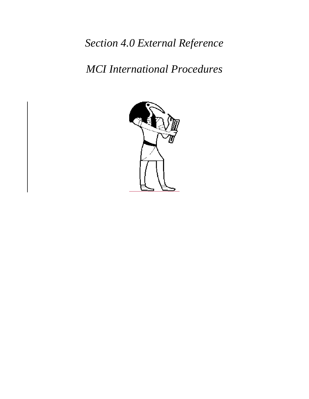*Section 4.0 External Reference*

*MCI International Procedures*

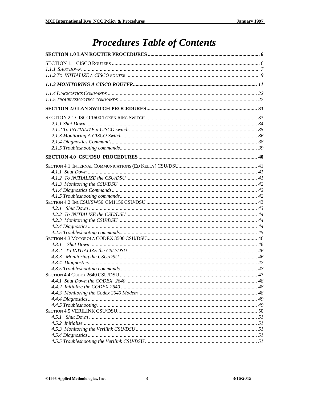# **Procedures Table of Contents**

| 4.3.1 |  |
|-------|--|
|       |  |
|       |  |
|       |  |
|       |  |
|       |  |
|       |  |
|       |  |
|       |  |
|       |  |
|       |  |
|       |  |
|       |  |
|       |  |
|       |  |
|       |  |
|       |  |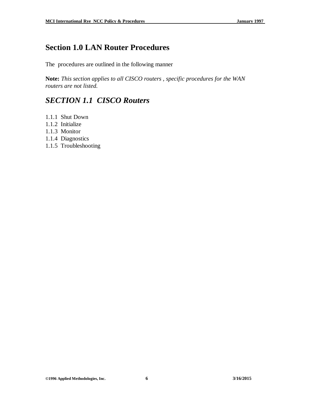# **Section 1.0 LAN Router Procedures**

The procedures are outlined in the following manner

**Note:** *This section applies to all CISCO routers , specific procedures for the WAN routers are not listed.*

# *SECTION 1.1 CISCO Routers*

- 1.1.1 Shut Down
- 1.1.2 Initialize
- 1.1.3 Monitor
- 1.1.4 Diagnostics
- 1.1.5 Troubleshooting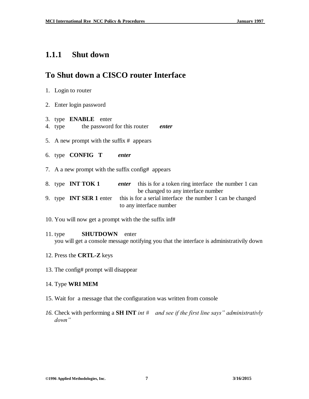## **1.1.1 Shut down**

## **To Shut down a CISCO router Interface**

- 1. Login to router
- 2. Enter login password
- 3. type **ENABLE** enter
- 4. type the password for this router *enter*
- 5. A new prompt with the suffix # appears
- 6. type **CONFIG T** *enter*
- 7. A a new prompt with the suffix config# appears

|  | 8. type <b>INT TOK 1</b> | <i>enter</i> this is for a token ring interface the number 1 can                          |
|--|--------------------------|-------------------------------------------------------------------------------------------|
|  |                          | be changed to any interface number                                                        |
|  |                          | 9. type <b>INT SER 1</b> enter this is for a serial interface the number 1 can be changed |
|  |                          | to any interface number                                                                   |

- 10. You will now get a prompt with the the suffix inf#
- 11. type **SHUTDOWN** enter you will get a console message notifying you that the interface is administrativily down
- 12. Press the **CRTL-Z** keys
- 13. The config# prompt will disappear
- 14. Type **WRI MEM**
- 15. Wait for a message that the configuration was written from console
- *16.* Check with performing a **SH INT** *int # and see if the first line says" administrativly down"*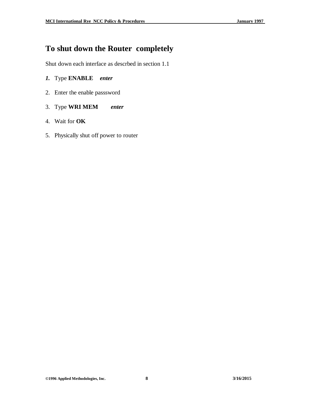## **To shut down the Router completely**

Shut down each interface as descrbed in section 1.1

### *1.* Type **ENABLE** *enter*

- 2. Enter the enable passsword
- 3. Type **WRI MEM** *enter*
- 4. Wait for **OK**
- 5. Physically shut off power to router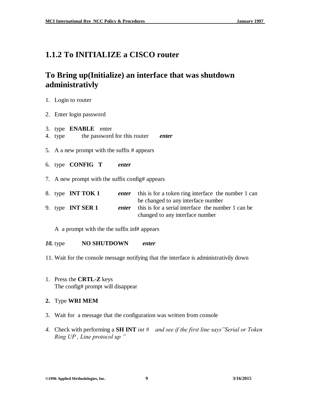## **1.1.2 To INITIALIZE a CISCO router**

## **To Bring up(Initialize) an interface that was shutdown administrativly**

|  |  |  | Login to router |  |
|--|--|--|-----------------|--|
|--|--|--|-----------------|--|

- 2. Enter login password
- 3. type **ENABLE** enter
- 4. type the password for this router *enter*
- 5. A a new prompt with the suffix # appears
- 6. type **CONFIG T** *enter*
- 7. A new prompt with the suffix config# appears

|  | 8. type INT TOK 1        | enter | this is for a token ring interface the number 1 can |
|--|--------------------------|-------|-----------------------------------------------------|
|  |                          |       | be changed to any interface number                  |
|  | 9. type <b>INT SER 1</b> | enter | this is for a serial interface the number 1 can be  |
|  |                          |       | changed to any interface number                     |

A a prompt with the the suffix inf# appears

- *10.* type **NO SHUTDOWN** *enter*
- 11. Wait for the console message notifying that the interface is administrativily down
- 1. Press the **CRTL-Z** keys The config# prompt will disappear
- **2.** Type **WRI MEM**
- 3. Wait for a message that the configuration was written from console
- *4.* Check with performing a **SH INT** *int # and see if the first line says"Serial or Token Ring UP , Line protocol up "*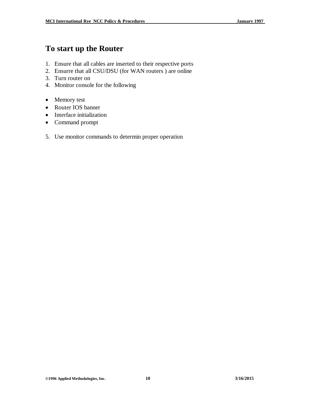## **To start up the Router**

- 1. Ensure that all cables are inserted to their respective ports
- 2. Ensurre that all CSU/DSU (for WAN routers ) are online
- 3. Turn router on
- 4. Monitor console for the following
- Memory test
- Router IOS banner
- Interface initialization
- Command prompt
- 5. Use monitor commands to determin proper operation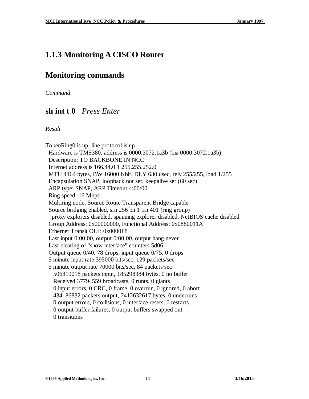## **1.1.3 Monitoring A CISCO Router**

## **Monitoring commands**

*Command*

## **sh int t 0** *Press Enter*

*Result*

TokenRing0 is up, line protocol is up Hardware is TMS380, address is 0000.3072.1a3b (bia 0000.3072.1a3b) Description: TO BACKBONE IN NCC Internet address is 166.44.0.1 255.255.252.0 MTU 4464 bytes, BW 16000 Kbit, DLY 630 usec, rely 255/255, load 1/255 Encapsulation SNAP, loopback not set, keepalive set (60 sec) ARP type: SNAP, ARP Timeout 4:00:00 Ring speed: 16 Mbps Multiring node, Source Route Transparent Bridge capable Source bridging enabled, srn 256 bn 1 trn 401 (ring group) proxy explorers disabled, spanning explorer disabled, NetBIOS cache disabled Group Address: 0x00000000, Functional Address: 0x0880011A Ethernet Transit OUI: 0x0000F8 Last input 0:00:00, output 0:00:00, output hang never Last clearing of "show interface" counters 5d06 Output queue 0/40, 78 drops; input queue 0/75, 0 drops 5 minute input rate 395000 bits/sec, 129 packets/sec 5 minute output rate 70000 bits/sec, 84 packets/sec 506819018 packets input, 185298384 bytes, 0 no buffer Received 37794559 broadcasts, 0 runts, 0 giants 0 input errors, 0 CRC, 0 frame, 0 overrun, 0 ignored, 0 abort 434186832 packets output, 2412632617 bytes, 0 underruns 0 output errors, 0 collisions, 0 interface resets, 0 restarts 0 output buffer failures, 0 output buffers swapped out 0 transitions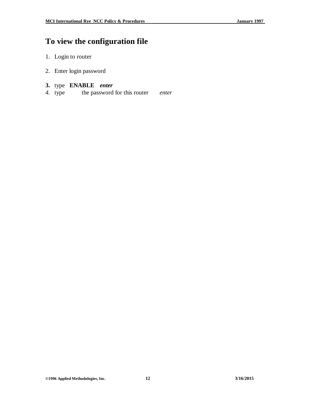# **To view the configuration file**

- 1. Login to router
- 2. Enter login password

### **3.** type **ENABLE** *enter*

*4.* type the password for this router *enter*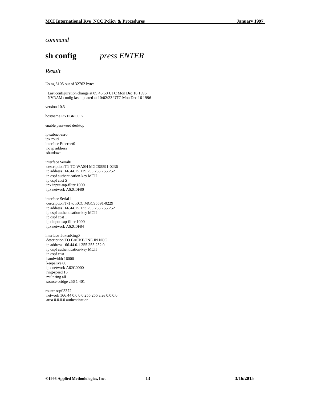#### *command*

**sh config** *press ENTER*

#### *Result*

Using 3105 out of 32762 bytes ! ! Last configuration change at 09:46:50 UTC Mon Dec 16 1996 ! NVRAM config last updated at 10:02:23 UTC Mon Dec 16 1996 ! version 10.3 ! hostname RYEBROOK ! enable password desktop ! ip subnet-zero ipx routi interface Ethernet0 no ip address shutdown ! interface Serial0 description T1 TO WASH MGC95591-0236 ip address 166.44.15.129 255.255.255.252 ip ospf authentication-key MCII ip ospf cost 5 ipx input-sap-filter 1000 ipx network A62C0F80 ! interface Serial1 description T-1 to KCC MGC95591-0229 ip address 166.44.15.133 255.255.255.252 ip ospf authentication-key MCII ip ospf cost 1 ipx input-sap-filter 1000 ipx network A62C0F84 ! interface TokenRing0 description TO BACKBONE IN NCC ip address 166.44.0.1 255.255.252.0 ip ospf authentication-key MCII ip ospf cost 1 bandwidth 16000 keepalive 60 ipx network A62C0000 ring-speed 16 multiring all source-bridge 256 1 401 ! router ospf 3372 network 166.44.0.0 0.0.255.255 area 0.0.0.0 area 0.0.0.0 authentication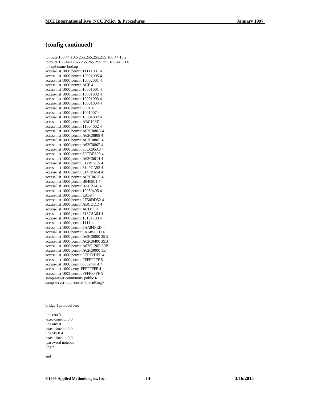#### **(config continued)**

ip route 166.44.10.6 255.255.255.255 166.44.10.2 ip route 166.44.17.65 255.255.255.255 166.44.0.14 ip ospf-name -lookup access -list 1000 permit 11111001 4 access -list 1000 permit 10001005 4 access -list 1000 permit 10002001 4 access -list 1000 permit ACE 4 access -list 1000 permit 10001001 4 access -list 1000 permit 10001002 4 access -list 1000 permit 10001003 4 access -list 1000 permit 10001004 4 access -list 1000 permit 6001 4 access -list 1000 permit 1001007 4 access -list 1000 permit 10004002 4 access -list 1000 permit ABC123D 4 access -list 1000 permit 11004002 4 access -list 1000 permit A62C080A 4 access -list 1000 permit A62C0809 4 access -list 1000 permit A62C080E 4 access -list 1000 permit A62C080F 4 access -list 1000 permit 30CC95A3 4 access -list 1000 permit 30CDE890 4 access -list 1000 permit A62C0014 4 access -list 1000 permit 312B52C5 4 access -list 1000 permit 3149CA55 4 access -list 1000 permit 3149BA54 4 access -list 1000 permit A62C061E 4 access -list 1000 permit B040901 4 access -list 1000 permit BACBAC 4 access -list 1000 permit 19950405 4 access -list 1000 permit EA69 4 access -list 1000 permit 2E50DD52 4 access -list 1000 permit ABCDDD 4 access -list 1000 permit ACDC3 4 access -list 1000 permit 313C8A84 4 access -list 1000 permit 10131703 4 access -list 1000 permit 1111 4 access -list 1000 permit 5AA84FED 4 access -list 1000 permit 5AA85FED 4 access -list 1000 permit A62C0000 39B access -list 1000 permit A62C0400 39B access -list 1000 permit A62C120E 39B access -list 1000 permit A62C0000 1E4 access -list 1000 permit 2FDF2DEF 4 access -list 1000 permit FFFFFFFF 5 access -list 1000 permit 6352431A 4 access -list 1000 deny FFFFFFFF 4 access -list 1002 permit FFFFFFFF 5 snmp -server community public RO snmp -server trap -source TokenRing0 !!!! bridge 1 protocol ieee ! line con 0 exec -timeout 0 0 line aux 0 exec -timeout 0 0 line vty 0 4 exec -timeout 0 0 password notepad login ! end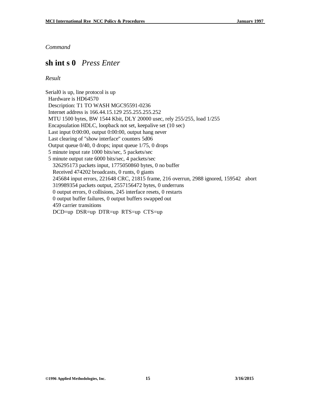### **sh int s 0** *Press Enter*

#### *Result*

Serial0 is up, line protocol is up Hardware is HD64570 Description: T1 TO WASH MGC95591-0236 Internet address is 166.44.15.129 255.255.255.252 MTU 1500 bytes, BW 1544 Kbit, DLY 20000 usec, rely 255/255, load 1/255 Encapsulation HDLC, loopback not set, keepalive set (10 sec) Last input 0:00:00, output 0:00:00, output hang never Last clearing of "show interface" counters 5d06 Output queue 0/40, 0 drops; input queue 1/75, 0 drops 5 minute input rate 1000 bits/sec, 5 packets/sec 5 minute output rate 6000 bits/sec, 4 packets/sec 326295173 packets input, 1775050860 bytes, 0 no buffer Received 474202 broadcasts, 0 runts, 0 giants 245684 input errors, 221648 CRC, 21815 frame, 216 overrun, 2988 ignored, 159542 abort 319989354 packets output, 2557156472 bytes, 0 underruns 0 output errors, 0 collisions, 245 interface resets, 0 restarts 0 output buffer failures, 0 output buffers swapped out 459 carrier transitions DCD=up DSR=up DTR=up RTS=up CTS=up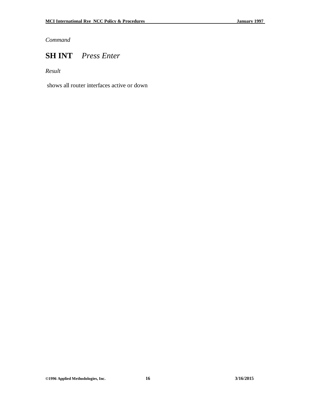## **SH INT** *Press Enter*

*Result*

shows all router interfaces active or down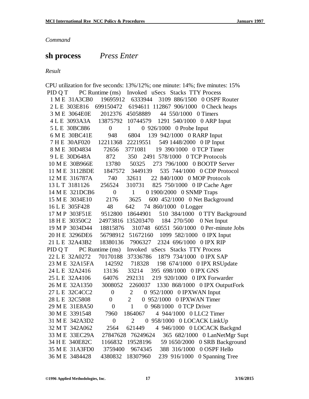# **sh process** *Press Enter*

*Result*

|                        | CPU utilization for five seconds: 13%/12%; one minute: 14%; five minutes: 15% |
|------------------------|-------------------------------------------------------------------------------|
|                        | PID Q T PC Runtime (ms) Invoked uSecs Stacks TTY Process                      |
| 1 M E 31A3CB0          | 19695912 6333944 3109 886/1500 0 OSPF Router                                  |
|                        | 2 L E 303E816 699150472 6194611 112867 906/1000 0 Check heaps                 |
| 3 M E 3064E0E          | 2012376 45058889<br>44 550/1000 0 Timers                                      |
|                        | 4 L E 3093A3A 13875792 10744579 1291 540/1000 0 ARP Input                     |
| 5 L E 30BC886          | 0 926/1000 0 Probe Input<br>$0 \qquad 1$                                      |
| 6 M E 30BC41E          | 948 6804<br>139 942/1000 0 RARP Input                                         |
|                        | 7 H E 30AF020 12211368 22219551 549 1448/2000 0 IP Input                      |
| 8 M E 30D4834          | 19 390/1000 0 TCP Timer<br>72656 3771081                                      |
| 9 L E 30D648A          | 872<br>350 2491 578/1000 0 TCP Protocols                                      |
|                        | 10 M E 30B966E 13780 50325 273 796/1000 0 BOOTP Server                        |
|                        | 11 M E 3112BDE 1847572 3449139 535 744/1000 0 CDP Protocol                    |
| 12 M E 316787A         | 740 32611 22 840/1000 0 MOP Protocols                                         |
| 13 L T 3181126         | 256524 310731 825 750/1000 0 IP Cache Ager                                    |
| 14 M E 321DCB6         | 0 1900/2000 0 SNMP Traps<br>$\overline{0}$<br>1                               |
| 15 M E 3034E10         | 3625<br>600 452/1000 0 Net Background<br>2176                                 |
| 16 L E 305F428         | 48<br>642<br>74 860/1000 0 Logger                                             |
| 17 M P 303F51E 9512800 | 510 384/1000 0 TTY Background<br>18644901                                     |
|                        | 18 H E 30350C2 24973816 135203470 184 270/500 0 Net Input                     |
|                        | 19 M P 3034D44 18815876 310748 60551 560/1000 0 Per-minute Jobs               |
| 20 H E 3296DE6         | 56798912 51672160<br>1099 582/1000 0 IPX Input                                |
| 21 L E 32A43B2         | 18380136 7906327 2324 696/1000 0 IPX RIP                                      |
|                        | PID Q T PC Runtime (ms) Invoked uSecs Stacks TTY Process                      |
| 22 L E 32A0272         | 70170188 37336786 1879 734/1000 0 IPX SAP                                     |
|                        | 23 M E 32A15FA 142592 718328 198 674/1000 0 IPX RSUpdate                      |
| 24 L E 32A2416         | 395 698/1000 0 IPX GNS<br>13136<br>33214                                      |
| 25 L E 32A4106 64076   | 292131 219 920/1000 0 IPX Forwarder                                           |
| 26 M E 32A1350 3008052 | 2260037 1330 868/1000 0 IPX OutputFork                                        |
| 27 L E 32C4CC2         | 0 952/1000 0 IPXWAN Input<br>$\boldsymbol{0}$<br>2                            |
| 28 L E 32C5808         | $\overline{2}$<br>0 952/1000 0 IPXWAN Timer<br>$\boldsymbol{0}$               |
| 29 M E 31E8A50         | 0 968/1000 0 TCP Driver<br>$\theta$<br>1                                      |
| 30 M E 3391548         | 1864067<br>4 944/1000 0 LLC2 Timer<br>7960                                    |
| 31 M E 342A3D2         | 0 958/1000 0 LOCACK LinkUp<br>$\boldsymbol{0}$<br>$\overline{2}$              |
| 32 M T 342A062         | 2564<br>621449<br>4 946/1000 0 LOCACK Backgnd                                 |
| 33 M E 33EC29A         | 27847628<br>76249624<br>365 682/1000 0 LanNetMgr Supt                         |
| 34 H E 340E82C         | 1166832<br>19528196<br>0 SRB Background<br>59 1650/2000                       |
| 35 M E 31A3FD0         | 9674345<br>0 OSPF Hello<br>3759400<br>388 316/1000                            |
| 36 M E 3484428         | 18307960<br>4380832<br>239 916/1000<br>0 Spanning Tree                        |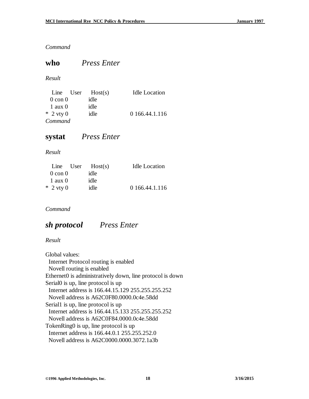### **who** *Press Enter*

#### *Result*

|                    | Line User | Host(s) | <b>Idle Location</b> |
|--------------------|-----------|---------|----------------------|
| $0 \text{ con } 0$ |           | idle    |                      |
| $1$ aux $0$        |           | idle    |                      |
| $*$ 2 vty 0        |           | idle    | 0 166.44.1.116       |
| Command            |           |         |                      |

### **systat** *Press Enter*

### *Result*

|                    | Line User | Host(s) | <b>Idle Location</b> |
|--------------------|-----------|---------|----------------------|
| $0 \text{ con } 0$ |           | idle    |                      |
| $1$ aux $0$        |           | idle    |                      |
| $*$ 2 vty 0        |           | idle    | 0 166.44.1.116       |

### *Command*

## *sh protocol Press Enter*

### *Result*

Global values: Internet Protocol routing is enabled Novell routing is enabled Ethernet0 is administratively down, line protocol is down Serial0 is up, line protocol is up Internet address is 166.44.15.129 255.255.255.252 Novell address is A62C0F80.0000.0c4e.58dd Serial1 is up, line protocol is up Internet address is 166.44.15.133 255.255.255.252 Novell address is A62C0F84.0000.0c4e.58dd TokenRing0 is up, line protocol is up Internet address is 166.44.0.1 255.255.252.0 Novell address is A62C0000.0000.3072.1a3b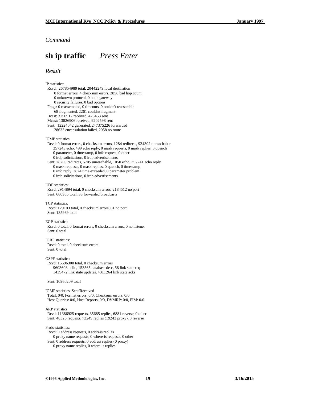## **sh ip traffic** *Press Enter*

#### *Result*

IP statistics:

 Rcvd: 267854989 total, 20442249 local destination 0 format errors, 4 checksum errors, 3856 bad hop count 0 unknown protocol, 0 not a gateway 0 security failures, 0 bad options Frags: 0 reassembled, 0 timeouts, 0 couldn't reassemble 68 fragmented, 2261 couldn't fragment Bcast: 3156912 received, 423453 sent Mcast: 13826906 received, 9202598 sent Sent: 12224042 generated, 247375226 forwarded 28633 encapsulation failed, 2958 no route ICMP statistics: Rcvd: 0 format errors, 0 checksum errors, 1284 redirects, 924302 unreachable 357243 echo, 499 echo reply, 0 mask requests, 0 mask replies, 0 quench 0 parameter, 0 timestamp, 0 info request, 0 other 0 irdp solicitations, 0 irdp advertisements Sent: 78289 redirects, 6705 unreachable, 1050 echo, 357241 echo reply 0 mask requests, 0 mask replies, 0 quench, 0 timestamp 0 info reply, 3824 time exceeded, 0 parameter problem 0 irdp solicitations, 0 irdp advertisements UDP statistics: Rcvd: 2914894 total, 0 checksum errors, 2184512 no port Sent: 680955 total, 33 forwarded broadcasts TCP statistics: Rcvd: 129103 total, 0 checksum errors, 61 no port Sent: 135939 total EGP statistics: Rcvd: 0 total, 0 format errors, 0 checksum errors, 0 no listener Sent: 0 total IGRP statistics: Rcvd: 0 total, 0 checksum errors Sent: 0 total OSPF statistics: Rcvd: 15596300 total, 0 checksum errors 9603608 hello, 153565 database desc, 58 link state req 1439472 link state updates, 4311264 link state acks Sent: 10960209 total IGMP statistics: Sent/Received Total: 0/0, Format errors: 0/0, Checksum errors: 0/0 Host Queries: 0/0, Host Reports: 0/0, DVMRP: 0/0, PIM: 0/0 ARP statistics: Rcvd: 11386925 requests, 35685 replies, 6881 reverse, 0 other Sent: 48326 requests, 73249 replies (19243 proxy), 0 reverse Probe statistics: Rcvd: 0 address requests, 0 address replies 0 proxy name requests, 0 where-is requests, 0 other Sent: 0 address requests, 0 address replies (0 proxy) 0 proxy name replies, 0 where-is replies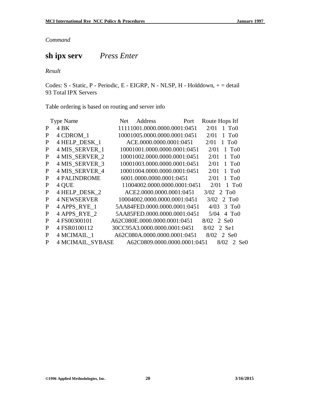## **sh ipx serv** *Press Enter*

*Result*

Codes: S - Static, P - Periodic, E - EIGRP, N - NLSP, H - Holddown, + = detail 93 Total IPX Servers

Table ordering is based on routing and server info

|              | <b>Type Name</b>    | Address<br>Net.              | Port                         | Route Hops Itf                                 |
|--------------|---------------------|------------------------------|------------------------------|------------------------------------------------|
| P            | 4 BK                |                              | 11111001.0000.0000.0001:0451 | $2/01$ 1 To <sub>0</sub>                       |
| P            | 4 CDROM 1           |                              | 10001005.0000.0000.0001:0451 | 2/01<br>1 T <sub>0</sub> 0                     |
| P            | 4 HELP DESK 1       |                              | ACE.0000.0000.0001:0451      | 1 T <sub>0</sub> 0<br>2/01                     |
| P            | 4 MIS SERVER 1      |                              | 10001001.0000.0000.0001:0451 | 2/01<br>1 T <sub>0</sub> 0                     |
| P            | 4 MIS SERVER 2      |                              | 10001002.0000.0000.0001:0451 | 2/01<br>T <sub>o</sub> 0<br>$\mathbf{1}$       |
| $\mathbf{P}$ | 4 MIS SERVER 3      |                              | 10001003.0000.0000.0001:0451 | T <sub>o</sub> 0<br>2/01<br>$\mathbf{1}$       |
| P            | 4 MIS SERVER 4      |                              | 10001004.0000.0000.0001:0451 | 2/01<br>T <sub>o</sub> 0<br>$\mathbf{1}$       |
| P            | <b>4 PALINDROME</b> |                              | 6001.0000.0000.0001:0451     | 2/01<br>$1~\mathrm{To}0$                       |
| $\mathbf{P}$ | 4 QUE               |                              | 11004002.0000.0000.0001:0451 | 2/01<br>$1 \text{ } \text{T}$ <sub>0</sub> $0$ |
| P            | 4 HELP DESK 2       |                              | ACE2.0000.0000.0001:0451     | $3/02$ 2 To <sub>0</sub>                       |
| P            | <b>4 NEWSERVER</b>  |                              | 10004002.0000.0000.0001:0451 | 3/02<br>$2 \text{ To} 0$                       |
| P            | 4 APPS RYE 1        |                              | 5AA84FED.0000.0000.0001:0451 | 3 T <sub>0</sub> 0<br>4/03                     |
| P            | 4 APPS RYE 2        |                              | 5AA85FED.0000.0000.0001:0451 | 5/04<br>$4 \text{ To} 0$                       |
| P            | 4 FS00300101        | A62C080E.0000.0000.0001:0451 |                              | 8/02 2 Se0                                     |
| P            | 4 FSR0100112        |                              | 30CC95A3.0000.0000.0001:0451 | 2 Sel<br>8/02                                  |
| P            | 4 MCIMAIL 1         |                              | A62C080A.0000.0000.0001:0451 | 8/02 2 Se0                                     |
| P            | 4 MCIMAIL SYBASE    |                              | A62C0809.0000.0000.0001:0451 | 8/02<br>2 Se <sub>0</sub>                      |
|              |                     |                              |                              |                                                |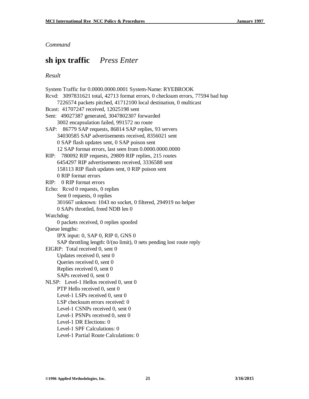### **sh ipx traffic** *Press Enter*

#### *Result*

System Traffic for 0.0000.0000.0001 System-Name: RYEBROOK Rcvd: 3097831621 total, 42713 format errors, 0 checksum errors, 77594 bad hop 7226574 packets pitched, 41712100 local destination, 0 multicast Bcast: 41707247 received, 12025198 sent Sent: 49027387 generated, 3047802307 forwarded 3002 encapsulation failed, 991572 no route SAP: 86779 SAP requests, 86814 SAP replies, 93 servers 34030585 SAP advertisements received, 8356021 sent 0 SAP flash updates sent, 0 SAP poison sent 12 SAP format errors, last seen from 0.0000.0000.0000 RIP: 780092 RIP requests, 29809 RIP replies, 215 routes 6454297 RIP advertisements received, 3336588 sent 158113 RIP flash updates sent, 0 RIP poison sent 0 RIP format errors RIP: 0 RIP format errors Echo: Rcvd 0 requests, 0 replies Sent 0 requests, 0 replies 301667 unknown: 1043 no socket, 0 filtered, 294919 no helper 0 SAPs throttled, freed NDB len 0 Watchdog: 0 packets received, 0 replies spoofed Queue lengths: IPX input: 0, SAP 0, RIP 0, GNS 0 SAP throttling length: 0/(no limit), 0 nets pending lost route reply EIGRP: Total received 0, sent 0 Updates received 0, sent 0 Queries received 0, sent 0 Replies received 0, sent 0 SAPs received 0, sent 0 NLSP: Level-1 Hellos received 0, sent 0 PTP Hello received 0, sent 0 Level-1 LSPs received 0, sent 0 LSP checksum errors received: 0 Level-1 CSNPs received 0, sent 0 Level-1 PSNPs received 0, sent 0 Level-1 DR Elections: 0 Level-1 SPF Calculations: 0 Level-1 Partial Route Calculations: 0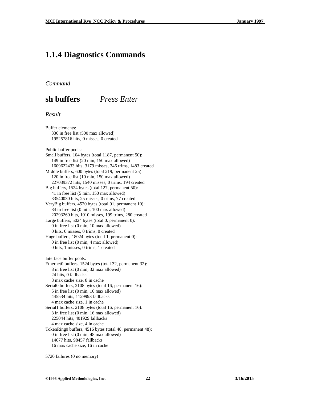### **1.1.4 Diagnostics Commands**

*Command*

**sh buffers** *Press Enter*

#### *Result*

Buffer elements: 336 in free list (500 max allowed) 195257816 hits, 0 misses, 0 created

Public buffer pools:

Small buffers, 104 bytes (total 1187, permanent 50): 149 in free list (20 min, 150 max allowed) 1609622433 hits, 3179 misses, 346 trims, 1483 created Middle buffers, 600 bytes (total 219, permanent 25): 120 in free list (10 min, 150 max allowed) 227039372 hits, 1540 misses, 0 trims, 194 created Big buffers, 1524 bytes (total 127, permanent 50): 41 in free list (5 min, 150 max allowed) 33540030 hits, 25 misses, 0 trims, 77 created VeryBig buffers, 4520 bytes (total 91, permanent 10): 84 in free list (0 min, 100 max allowed) 20293260 hits, 1010 misses, 199 trims, 280 created Large buffers, 5024 bytes (total 0, permanent 0): 0 in free list (0 min, 10 max allowed) 0 hits, 0 misses, 0 trims, 0 created Huge buffers, 18024 bytes (total 1, permanent 0): 0 in free list (0 min, 4 max allowed) 0 hits, 1 misses, 0 trims, 1 created Interface buffer pools: Ethernet0 buffers, 1524 bytes (total 32, permanent 32): 8 in free list (0 min, 32 max allowed) 24 hits, 0 fallbacks 8 max cache size, 8 in cache

Serial0 buffers, 2108 bytes (total 16, permanent 16): 5 in free list (0 min, 16 max allowed) 445534 hits, 1129993 fallbacks 4 max cache size, 1 in cache Serial1 buffers, 2108 bytes (total 16, permanent 16): 3 in free list (0 min, 16 max allowed) 225044 hits, 401929 fallbacks

 4 max cache size, 4 in cache TokenRing0 buffers, 4516 bytes (total 48, permanent 48): 0 in free list (0 min, 48 max allowed) 14677 hits, 98457 fallbacks 16 max cache size, 16 in cache

5720 failures (0 no memory)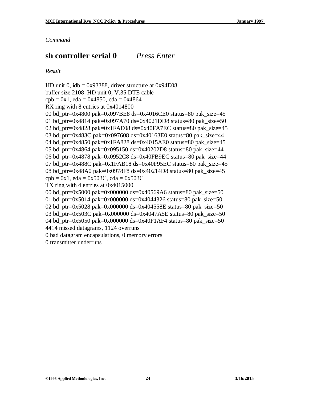## **sh controller serial 0** *Press Enter*

*Result*

HD unit 0,  $idb = 0x93388$ , driver structure at  $0x94E08$ buffer size 2108 HD unit 0, V.35 DTE cable  $cpb = 0x1$ , eda = 0x4850, cda = 0x4864 RX ring with 8 entries at 0x4014800 00 bd\_ptr=0x4800 pak=0x097BE8 ds=0x4016CE0 status=80 pak\_size=45 01 bd\_ptr=0x4814 pak=0x097A70 ds=0x4021DD8 status=80 pak\_size=50 02 bd\_ptr=0x4828 pak=0x1FAE08 ds=0x40FA7EC status=80 pak\_size=45 03 bd\_ptr=0x483C pak=0x097608 ds=0x40163E0 status=80 pak\_size=44 04 bd\_ptr=0x4850 pak=0x1FA828 ds=0x4015AE0 status=80 pak\_size=45 05 bd\_ptr=0x4864 pak=0x095150 ds=0x40202D8 status=80 pak\_size=44 06 bd ptr=0x4878 pak=0x0952C8 ds=0x40FB9EC status=80 pak size=44 07 bd ptr=0x488C pak=0x1FAB18 ds=0x40F95EC status=80 pak size=45 08 bd\_ptr=0x48A0 pak=0x0978F8 ds=0x40214D8 status=80 pak\_size=45  $cpb = 0x1$ , eda = 0x503C, cda = 0x503C TX ring with 4 entries at 0x4015000 00 bd ptr=0x5000 pak=0x000000 ds=0x40569A6 status=80 pak size=50 01 bd\_ptr=0x5014 pak=0x000000 ds=0x4044326 status=80 pak\_size=50 02 bd\_ptr=0x5028 pak=0x000000 ds=0x404558E status=80 pak\_size=50 03 bd ptr=0x503C pak=0x000000 ds=0x4047A5E status=80 pak size=50 04 bd\_ptr=0x5050 pak=0x000000 ds=0x40F1AF4 status=80 pak\_size=50 4414 missed datagrams, 1124 overruns 0 bad datagram encapsulations, 0 memory errors 0 transmitter underruns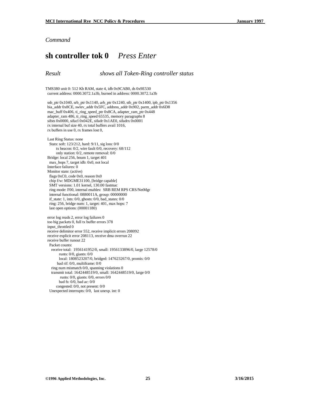### **sh controller tok 0** *Press Enter*

*Result shows all Token-Ring controller status*

TMS380 unit 0: 512 Kb RAM, state 4, idb 0x9CAB0, ds 0x9E530 current address: 0000.3072.1a3b, burned in address: 0000.3072.1a3b

 ssb\_ptr 0x1040, srb\_ptr 0x1140, arb\_ptr 0x1240, stb\_ptr 0x1400, ipb\_ptr 0x1356 bia\_addr 0x8CE, swlev\_addr 0x5FC, address\_addr 0x902, parm\_addr 0x6D8 mac\_buff 0x406, ti\_ring\_speed\_ptr 0x8CA, adapter\_ram\_ptr 0x448 adapter\_ram 486, ti\_ring\_speed 65535, memory paragraphs 8 sifsts 0x0000, sifacl 0x042E, sifadr 0x1AE0, sifadrx 0x0001 rx internal buf size 40, rx total buffers avail 1016, rx buffers in use 0, rx frames lost 0,

 Last Ring Status: none Stats: soft: 123/212, hard: 9/11, sig loss: 0/0 tx beacon: 0/2, wire fault 0/0, recovery: 68/112 only station: 0/2, remote removal: 0/0 Bridge: local 256, bnum 1, target 401 max\_hops 7, target idb: 0x0, not local Interface failures: 0 Monitor state: (active) flags 0xC0, code 0x0, reason 0x0 chip f/w: MDGME31100, [bridge capable] SMT versions: 1.01 kernel, 130.00 fastmac ring mode: F00, internal enables: SRB REM RPS CRS/NetMgr internal functional: 0880011A, group: 00000000 if\_state: 1, ints: 0/0, ghosts: 0/0, bad\_states: 0/0 ring: 256, bridge num: 1, target: 401, max hops: 7 last open options: (00001180)

 error log reads 2, error log failures 0 too big packets 0, full tx buffer errors 378 input\_throttled 0 receive delimitor error 552, receive implicit errors 208092 receive explicit error 208113, receive dma overrun 22 receive buffer runout 22 Packet counts: receive total: 1956141952/0, small: 1956133896/0, large 12578/0 runts: 0/0, giants: 0/0 local: 1808523207/0, bridged: 147623267/0, promis: 0/0 bad rif: 0/0, multiframe: 0/0 ring num mismatch 0/0, spanning violations 0 transmit total: 1642448519/0, small: 1642448519/0, large 0/0 runts: 0/0, giants: 0/0, errors 0/0 bad fs: 0/0, bad ac: 0/0 congested: 0/0, not present: 0/0 Unexpected interrupts: 0/0, last unexp. int: 0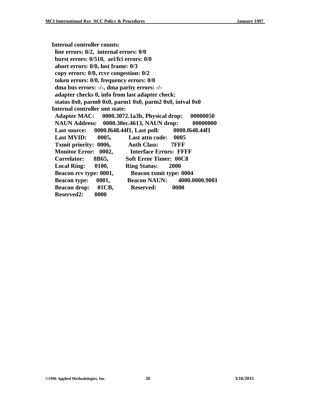**Internal controller counts: line errors: 0/2, internal errors: 0/0 burst errors: 0/510, ari/fci errors: 0/0 abort errors: 0/0, lost frame: 0/3 copy errors: 0/0, rcvr congestion: 0/2 token errors: 0/0, frequency errors: 0/0 dma bus errors: -/-, dma parity errors: -/ adapter checks 0, info from last adapter check: status 0x0, parm0 0x0, parm1 0x0, parm2 0x0, intval 0x0 Internal controller smt state: Adapter MAC: 0000.3072.1a3b, Physical drop: 00000050 NAUN Address: 0000.30ec.4613, NAUN drop: 00000000 Last source: 0000.f648.44f1, Last poll: 0000.f648.44f1 Last MVID: 0005, Last attn code: 0005 Txmit priority: 0006, Auth Class: 7FFF Monitor Error: 0002, Interface Errors: FFFF Correlator: 8B65, Soft Error Timer: 00C8 Local Ring: 0100, Ring Status: 2000 Beacon rcv type: 0001, Beacon txmit type: 0004 Beacon type: 0001, Beacon NAUN: 4000.0000.9001 Beacon drop: 01CB, Reserved: 0000 Reserved2: 0000**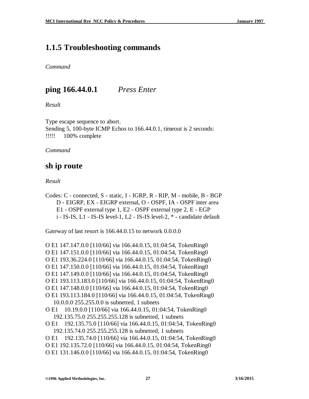## **1.1.5 Troubleshooting commands**

*Command*

## **ping 166.44.0.1** *Press Enter*

*Result*

Type escape sequence to abort. Sending 5, 100-byte ICMP Echos to 166.44.0.1, timeout is 2 seconds: !!!!! 100% complete

*Command*

## **sh ip route**

*Result*

Codes: C - connected, S - static, I - IGRP, R - RIP, M - mobile, B - BGP D - EIGRP, EX - EIGRP external, O - OSPF, IA - OSPF inter area E1 - OSPF external type 1, E2 - OSPF external type 2, E - EGP i - IS-IS, L1 - IS-IS level-1, L2 - IS-IS level-2, \* - candidate default

Gateway of last resort is 166.44.0.15 to network 0.0.0.0

O E1 147.147.0.0 [110/66] via 166.44.0.15, 01:04:54, TokenRing0 O E1 147.151.0.0 [110/66] via 166.44.0.15, 01:04:54, TokenRing0 O E1 193.36.224.0 [110/66] via 166.44.0.15, 01:04:54, TokenRing0 O E1 147.150.0.0 [110/66] via 166.44.0.15, 01:04:54, TokenRing0 O E1 147.149.0.0 [110/66] via 166.44.0.15, 01:04:54, TokenRing0 O E1 193.113.183.0 [110/66] via 166.44.0.15, 01:04:54, TokenRing0 O E1 147.148.0.0 [110/66] via 166.44.0.15, 01:04:54, TokenRing0 O E1 193.113.184.0 [110/66] via 166.44.0.15, 01:04:54, TokenRing0 10.0.0.0 255.255.0.0 is subnetted, 1 subnets O E1 10.19.0.0 [110/66] via 166.44.0.15, 01:04:54, TokenRing0 192.135.75.0 255.255.255.128 is subnetted, 1 subnets O E1 192.135.75.0 [110/66] via 166.44.0.15, 01:04:54, TokenRing0 192.135.74.0 255.255.255.128 is subnetted, 1 subnets O E1 192.135.74.0 [110/66] via 166.44.0.15, 01:04:54, TokenRing0 O E1 192.135.72.0 [110/66] via 166.44.0.15, 01:04:54, TokenRing0 O E1 131.146.0.0 [110/66] via 166.44.0.15, 01:04:54, TokenRing0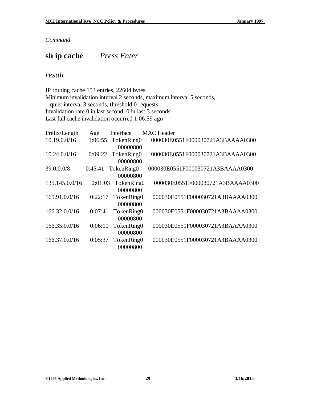## **sh ip cache** *Press Enter*

### *result*

IP routing cache 153 entries, 22604 bytes

Minimum invalidation interval 2 seconds, maximum interval 5 seconds,

quiet interval 3 seconds, threshold 0 requests

Invalidation rate 0 in last second, 0 in last 3 seconds

Last full cache invalidation occurred 1:06:59 ago

| Prefix/Length  | Age     | Interface  | <b>MAC</b> Header                |
|----------------|---------|------------|----------------------------------|
| 10.19.0.0/16   | 1:06:55 | TokenRing0 | 000030E0551F000030721A3BAAAA0300 |
|                |         | 00000800   |                                  |
| 10.24.0.0/16   | 0:09:22 | TokenRing0 | 000030E0551F000030721A3BAAAA0300 |
|                |         | 00000800   |                                  |
| 39.0.0.0/8     | 0:45:41 | TokenRing0 | 000030E0551F000030721A3BAAAA0300 |
|                |         | 00000800   |                                  |
| 135.145.0.0/16 | 0:01:03 | TokenRing0 | 000030E0551F000030721A3BAAAA0300 |
|                |         | 00000800   |                                  |
| 165.91.0.0/16  | 0:22:17 | TokenRing0 | 000030E0551F000030721A3BAAAA0300 |
|                |         | 00000800   |                                  |
| 166.32.0.0/16  | 0:07:41 | TokenRing0 | 000030E0551F000030721A3BAAAA0300 |
|                |         | 00000800   |                                  |
| 166.35.0.0/16  | 0:06:10 | TokenRing0 | 000030E0551F000030721A3BAAAA0300 |
|                |         | 00000800   |                                  |
| 166.37.0.0/16  | 0:05:37 | TokenRing0 | 000030E0551F000030721A3BAAAA0300 |
|                |         | 00000800   |                                  |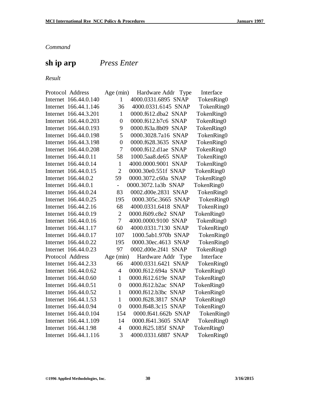# **sh ip arp** *Press Enter*

*Result*

| Protocol Address         | Age (min)      | Hardware Addr Type            | Interface  |
|--------------------------|----------------|-------------------------------|------------|
| Internet 166.44.0.140    | 1              | 4000.0331.6895 SNAP           | TokenRing0 |
| 166.44.1.146<br>Internet | 36             | 4000.0331.6145 SNAP           | TokenRing0 |
| Internet 166.44.3.201    | 1              | 0000.f612.dba2 SNAP           | TokenRing0 |
| Internet 166.44.0.203    | $\overline{0}$ | 0000.f612.b7c6 SNAP           | TokenRing0 |
| Internet 166.44.0.193    | 9              | 0000.f63a.8b09 SNAP           | TokenRing0 |
| Internet 166.44.0.198    | 5              | 0000.3028.7a16 SNAP           | TokenRing0 |
| Internet 166.44.3.198    | $\overline{0}$ | 0000.f628.3635 SNAP           | TokenRing0 |
| Internet 166.44.0.208    | 7              | 0000.f612.d1ae SNAP           | TokenRing0 |
| Internet 166.44.0.11     | 58             | 1000.5aa8.de65 SNAP           | TokenRing0 |
| Internet 166.44.0.14     | $\mathbf{1}$   | 4000.0000.9001<br><b>SNAP</b> | TokenRing0 |
| Internet 166.44.0.15     | $\overline{2}$ | 0000.30e0.551f SNAP           | TokenRing0 |
| Internet 166.44.0.2      | 59             | 0000.3072.c60a SNAP           | TokenRing0 |
| Internet 166.44.0.1      | $\overline{a}$ | 0000.3072.1a3b SNAP           | TokenRing0 |
| Internet 166.44.0.24     | 83             | 0002.d00e.2831 SNAP           | TokenRing0 |
| Internet 166.44.0.25     | 195            | 0000.305c.3665 SNAP           | TokenRing0 |
| Internet 166.44.2.16     | 68             | 4000.0331.6418 SNAP           | TokenRing0 |
| Internet 166.44.0.19     | $\overline{2}$ | 0000.f609.c8e2 SNAP           | TokenRing0 |
| Internet 166.44.0.16     | $\overline{7}$ | 4000.0000.9100 SNAP           | TokenRing0 |
| Internet 166.44.1.17     | 60             | 4000.0331.7130 SNAP           | TokenRing0 |
| Internet 166.44.0.17     | 107            | 1000.5ab1.970b SNAP           | TokenRing0 |
| Internet 166.44.0.22     | 195            | 0000.30ec.4613 SNAP           | TokenRing0 |
| Internet 166.44.0.23     | 97             | 0002.d00e.2f41 SNAP           | TokenRing0 |
| Protocol Address         | Age (min)      | Hardware Addr<br>Type         | Interface  |
| Internet 166.44.2.33     | 66             | 4000.0331.6421 SNAP           | TokenRing0 |
| Internet 166.44.0.62     | $\overline{4}$ | 0000.f612.694a SNAP           | TokenRing0 |
| Internet 166.44.0.60     | $\mathbf{1}$   | 0000.f612.619e SNAP           | TokenRing0 |
| Internet 166.44.0.51     | $\overline{0}$ | 0000.f612.b2ac SNAP           | TokenRing0 |
| Internet 166.44.0.52     | $\mathbf{1}$   | 0000.f612.b3bc SNAP           | TokenRing0 |
| Internet 166.44.1.53     | $\mathbf{1}$   | 0000.f628.3817<br><b>SNAP</b> | TokenRing0 |
| Internet 166.44.0.94     | $\overline{0}$ | 0000.f648.3c15 SNAP           | TokenRing0 |
| Internet 166.44.0.104    | 154            | 0000.f641.662b SNAP           | TokenRing0 |
| Internet 166.44.1.109    | 14             | 0000.f641.3605 SNAP           | TokenRing0 |
| Internet 166.44.1.98     | $\overline{4}$ | 0000.f625.185f SNAP           | TokenRing0 |
| Internet 166.44.1.116    | 3              | 4000.0331.6887 SNAP           | TokenRing0 |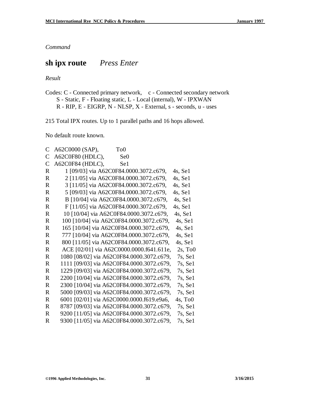## **sh ipx route** *Press Enter*

*Result*

Codes: C - Connected primary network, c - Connected secondary network S - Static, F - Floating static, L - Local (internal), W - IPXWAN R - RIP, E - EIGRP, N - NLSP, X - External, s - seconds, u - uses

215 Total IPX routes. Up to 1 parallel paths and 16 hops allowed.

No default route known.

| C             | A62C0000 (SAP),<br>T <sub>o</sub> 0       |                 |                        |
|---------------|-------------------------------------------|-----------------|------------------------|
| C             | A62C0F80 (HDLC),                          | Se <sub>0</sub> |                        |
| $\mathcal{C}$ | A62C0F84 (HDLC),                          | Se1             |                        |
| R             | 1 [09/03] via A62C0F84.0000.3072.c679,    |                 | 4s, Sel                |
| R             | 2 [11/05] via A62C0F84.0000.3072.c679,    |                 | 4s, Sel                |
| R             | 3 [11/05] via A62C0F84.0000.3072.c679,    |                 | 4s, Sel                |
| $\mathbf R$   | 5 [09/03] via A62C0F84.0000.3072.c679,    |                 | 4s, Sel                |
| $\mathbf R$   | B [10/04] via A62C0F84.0000.3072.c679,    |                 | 4s, Sel                |
| $\mathbf R$   | F [11/05] via A62C0F84.0000.3072.c679,    |                 | 4s, Sel                |
| $\mathbf R$   | 10 [10/04] via A62C0F84.0000.3072.c679,   |                 | 4s, Sel                |
| $\mathbf R$   | 100 [10/04] via A62C0F84.0000.3072.c679,  |                 | 4s, Sel                |
| $\mathbf R$   | 165 [10/04] via A62C0F84.0000.3072.c679,  |                 | 4s, Sel                |
| $\mathbf R$   | 777 [10/04] via A62C0F84.0000.3072.c679,  |                 | 4s, Sel                |
| $\mathbf R$   | 800 [11/05] via A62C0F84.0000.3072.c679,  |                 | $4s$ , Se $1$          |
| $\mathbf R$   | ACE [02/01] via A62C0000.0000.f641.611e,  |                 | $2s$ , To <sub>0</sub> |
| $\mathbf R$   | 1080 [08/02] via A62C0F84.0000.3072.c679, |                 | $7s$ , Se $1$          |
| R             | 1111 [09/03] via A62C0F84.0000.3072.c679, |                 | $7s$ , Se $1$          |
| $\mathbf R$   | 1229 [09/03] via A62C0F84.0000.3072.c679, |                 | $7s$ , Se $1$          |
| R             | 2200 [10/04] via A62C0F84.0000.3072.c679, |                 | $7s$ , Se $1$          |
| $\mathbf R$   | 2300 [10/04] via A62C0F84.0000.3072.c679, |                 | $7s$ , Se $1$          |
| R             | 5000 [09/03] via A62C0F84.0000.3072.c679, |                 | $7s$ , Se $1$          |
| R             | 6001 [02/01] via A62C0000.0000.f619.e9a6, |                 | $4s$ , To $0$          |
| R             | 8787 [09/03] via A62C0F84.0000.3072.c679, |                 | $7s$ , Se $1$          |
| R             | 9200 [11/05] via A62C0F84.0000.3072.c679, |                 | $7s$ , Se $1$          |
| R             | 9300 [11/05] via A62C0F84.0000.3072.c679, |                 | $7s$ , Se $1$          |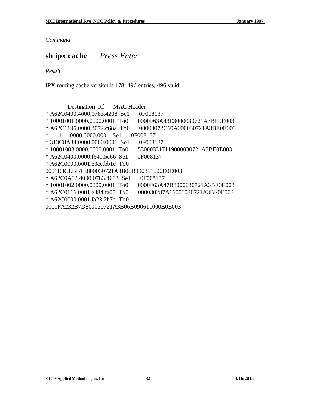## **sh ipx cache** *Press Enter*

*Result*

IPX routing cache version is 178, 496 entries, 496 valid

 Destination Itf MAC Header \* A62C0400.4000.0783.4208 Se1 0F008137 \* 10001001.0000.0000.0001 To0 0000F63A43E3000030721A3BE0E003 \* A62C1195.0000.3072.c68a To0 00003072C60A000030721A3BE0E003 \* 1111.0000.0000.0001 Se1 0F008137 \* 313C8A84.0000.0000.0001 Se1 0F008137 \* 10001003.0000.0000.0001 To0 530003317119000030721A3BE0E003 \* A62C0400.0000.f641.5c66 Se1 0F008137 \* A62C0000.0001.e3ce.bb1e To0 0001E3CEBB1E800030721A3B06B090311000E0E003 \* A62C0A02.4000.0783.4603 Se1 0F008137 \* 10001002.0000.0000.0001 To0 0000F63A47B8000030721A3BE0E003 \* A62C0116.0001.e384.fa05 To0 000030287A16000030721A3BE0E003 \* A62C0000.0001.fa23.2b7d To0 0001FA232B7D800030721A3B06B090611000E0E003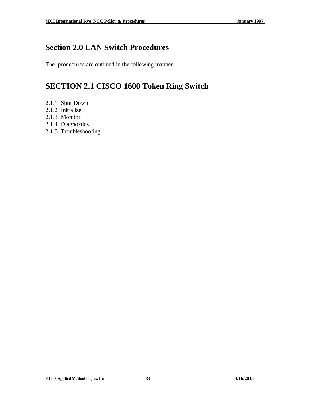# **Section 2.0 LAN Switch Procedures**

The procedures are outlined in the following manner

# **SECTION 2.1 CISCO 1600 Token Ring Switch**

- 2.1.1 Shut Down
- 2.1.2 Initialize
- 2.1.3 Monitor
- 2.1.4 Diagnostics
- 2.1.5 Troubleshooting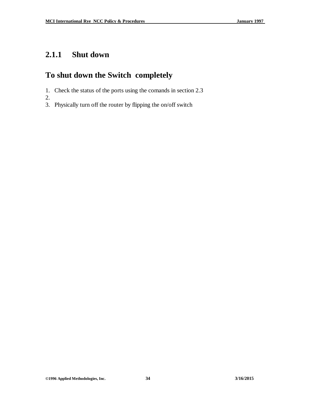# **2.1.1 Shut down**

# **To shut down the Switch completely**

- 1. Check the status of the ports using the comands in section 2.3
- 2.
- 3. Physically turn off the router by flipping the on/off switch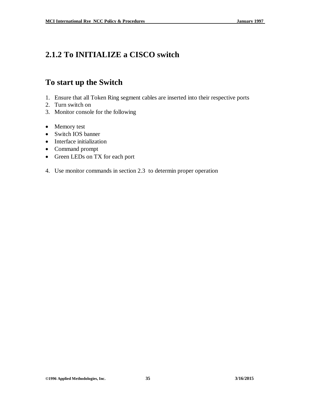# **2.1.2 To INITIALIZE a CISCO switch**

## **To start up the Switch**

- 1. Ensure that all Token Ring segment cables are inserted into their respective ports
- 2. Turn switch on
- 3. Monitor console for the following
- Memory test
- Switch IOS banner
- Interface initialization
- Command prompt
- Green LEDs on TX for each port
- 4. Use monitor commands in section 2.3 to determin proper operation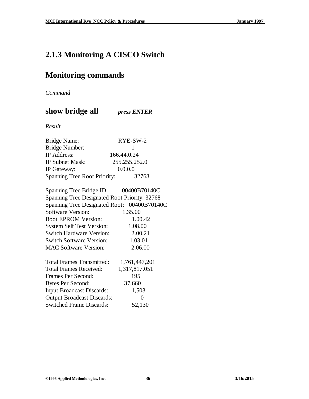# **2.1.3 Monitoring A CISCO Switch**

# **Monitoring commands**

*Command*

**show bridge all** *press ENTER*

*Result*

| <b>Bridge Name:</b>          | RYE-SW-2      |  |
|------------------------------|---------------|--|
| <b>Bridge Number:</b>        |               |  |
| IP Address:                  | 166.44.0.24   |  |
| <b>IP Subnet Mask:</b>       | 255.255.252.0 |  |
| IP Gateway:                  | 0.0.0.0       |  |
| Spanning Tree Root Priority: | 32768         |  |

| Spanning Tree Bridge ID: 00400B70140C         |                   |
|-----------------------------------------------|-------------------|
| Spanning Tree Designated Root Priority: 32768 |                   |
| Spanning Tree Designated Root: 00400B70140C   |                   |
| <b>Software Version:</b>                      | 1.35.00           |
| <b>Boot EPROM Version:</b>                    | 1.00.42           |
| <b>System Self Test Version:</b>              | 1.08.00           |
| <b>Switch Hardware Version:</b>               | 2.00.21           |
| <b>Switch Software Version:</b>               | 1.03.01           |
| <b>MAC Software Version:</b>                  | 2.06.00           |
| <b>Total Frames Transmitted:</b>              | 1,761,447,201     |
| Total Frames Received:                        | 1,317,817,051     |
| Frames Per Second:                            | 195               |
| <b>Bytes Per Second:</b>                      | 37,660            |
| <b>Input Broadcast Discards:</b>              | 1,503             |
| <b>Output Broadcast Discards:</b>             | $\mathbf{\Omega}$ |
| <b>Switched Frame Discards:</b>               | 52,130            |
|                                               |                   |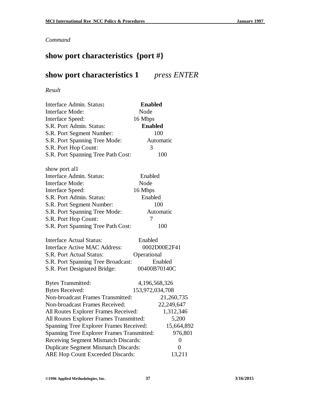#### *Command*

# **show port characteristics {port #}**

## **show port characteristics 1** *press ENTER*

*Result* 

| Interface Admin. Status:                   | <b>Enabled</b>  |                  |
|--------------------------------------------|-----------------|------------------|
| <b>Interface Mode:</b>                     | Node            |                  |
| Interface Speed:                           | 16 Mbps         |                  |
| S.R. Port Admin. Status:                   | <b>Enabled</b>  |                  |
| S.R. Port Segment Number:                  |                 | 100              |
| S.R. Port Spanning Tree Mode:              |                 | Automatic        |
| S.R. Port Hop Count:                       | 3               |                  |
| S.R. Port Spanning Tree Path Cost:         |                 | 100              |
| show port all                              |                 |                  |
| Interface Admin. Status:                   | Enabled         |                  |
| <b>Interface Mode:</b>                     | Node            |                  |
| Interface Speed:                           | 16 Mbps         |                  |
| S.R. Port Admin. Status:                   | Enabled         |                  |
| S.R. Port Segment Number:                  | 100             |                  |
| S.R. Port Spanning Tree Mode:              | Automatic       |                  |
| S.R. Port Hop Count:                       | 7               |                  |
| S.R. Port Spanning Tree Path Cost:         |                 | 100              |
| <b>Interface Actual Status:</b>            | Enabled         |                  |
| <b>Interface Active MAC Address:</b>       | 0002D00E2F41    |                  |
| S.R. Port Actual Status:                   | Operational     |                  |
| S.R. Port Spanning Tree Broadcast:         |                 | Enabled          |
| S.R. Port Designated Bridge:               |                 | 00400B70140C     |
| <b>Bytes Transmitted:</b>                  | 4,196,568,326   |                  |
| <b>Bytes Received:</b>                     | 153,972,034,708 |                  |
| Non-broadcast Frames Transmitted:          |                 | 21,260,735       |
| Non-broadcast Frames Received:             |                 | 22,249,647       |
| All Routes Explorer Frames Received:       |                 | 1,312,346        |
| All Routes Explorer Frames Transmitted:    |                 | 5,200            |
| Spanning Tree Explorer Frames Received:    |                 | 15,664,892       |
| Spanning Tree Explorer Frames Transmitted: |                 | 976,801          |
| Receiving Segment Mismatch Discards:       |                 | $\boldsymbol{0}$ |
| Duplicate Segment Mismatch Discards:       |                 | $\boldsymbol{0}$ |
| <b>ARE Hop Count Exceeded Discards:</b>    |                 | 13,211           |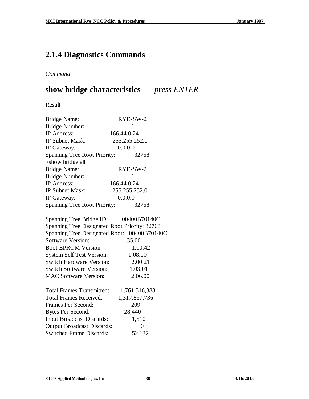## **2.1.4 Diagnostics Commands**

#### *Command*

## **show bridge characteristics** *press ENTER*

Result

| <b>Bridge Name:</b>                           | RYE-SW-2      |  |
|-----------------------------------------------|---------------|--|
| Bridge Number:                                | 1             |  |
| <b>IP</b> Address:                            | 166.44.0.24   |  |
| <b>IP Subnet Mask:</b>                        | 255.255.252.0 |  |
| IP Gateway:                                   | 0.0.0.0       |  |
| Spanning Tree Root Priority:                  | 32768         |  |
| >show bridge all                              |               |  |
| <b>Bridge Name:</b>                           | RYE-SW-2      |  |
| Bridge Number:                                | $\mathbf{1}$  |  |
| <b>IP</b> Address:                            | 166.44.0.24   |  |
| <b>IP Subnet Mask:</b>                        | 255.255.252.0 |  |
| IP Gateway:                                   | 0.0.0.0       |  |
| Spanning Tree Root Priority:                  | 32768         |  |
| Spanning Tree Bridge ID:                      | 00400B70140C  |  |
| Spanning Tree Designated Root Priority: 32768 |               |  |
| Spanning Tree Designated Root: 00400B70140C   |               |  |
| Software Version:                             | 1.35.00       |  |
| <b>Boot EPROM Version:</b>                    | 1.00.42       |  |
| <b>System Self Test Version:</b>              | 1.08.00       |  |
| <b>Switch Hardware Version:</b>               | 2.00.21       |  |
| <b>Switch Software Version:</b>               | 1.03.01       |  |
| <b>MAC Software Version:</b>                  | 2.06.00       |  |
| <b>Total Frames Transmitted:</b>              | 1,761,516,388 |  |
| <b>Total Frames Received:</b>                 | 1,317,867,736 |  |
| Frames Per Second:                            | 209           |  |
| <b>Bytes Per Second:</b>                      | 28,440        |  |
| <b>Input Broadcast Discards:</b>              | 1,510         |  |

Output Broadcast Discards: 0 Switched Frame Discards: 52,132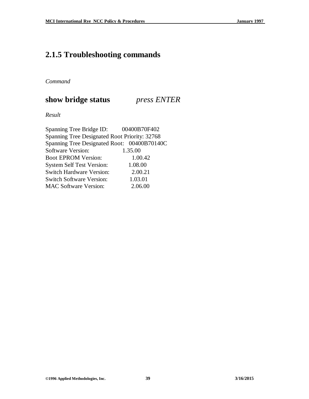# **2.1.5 Troubleshooting commands**

*Command*

#### **show bridge status** *press ENTER*

*Result*

| Spanning Tree Bridge ID:                      | 00400B70F402 |
|-----------------------------------------------|--------------|
| Spanning Tree Designated Root Priority: 32768 |              |
| Spanning Tree Designated Root: 00400B70140C   |              |
| <b>Software Version:</b>                      | 1.35.00      |
| <b>Boot EPROM Version:</b>                    | 1.00.42      |
| <b>System Self Test Version:</b>              | 1.08.00      |
| <b>Switch Hardware Version:</b>               | 2.00.21      |
| <b>Switch Software Version:</b>               | 1.03.01      |
| <b>MAC Software Version:</b>                  | 2.06.00      |
|                                               |              |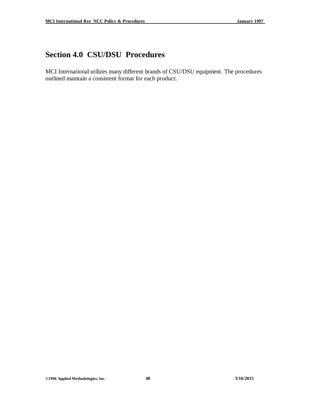# **Section 4.0 CSU/DSU Procedures**

MCI International utilizes many different brands of CSU/DSU equipment. The procedures outlined maintain a consistent format for each product.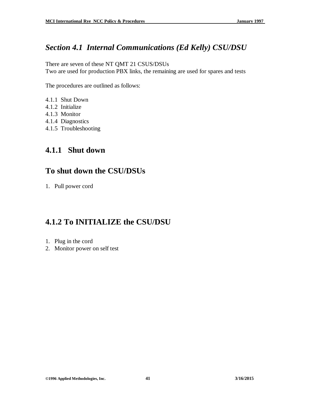#### *Section 4.1 Internal Communications (Ed Kelly) CSU/DSU*

There are seven of these NT QMT 21 CSUS/DSUs Two are used for production PBX links, the remaining are used for spares and tests

The procedures are outlined as follows:

- 4.1.1 Shut Down
- 4.1.2 Initialize
- 4.1.3 Monitor
- 4.1.4 Diagnostics
- 4.1.5 Troubleshooting

#### **4.1.1 Shut down**

#### **To shut down the CSU/DSUs**

1. Pull power cord

## **4.1.2 To INITIALIZE the CSU/DSU**

- 1. Plug in the cord
- 2. Monitor power on self test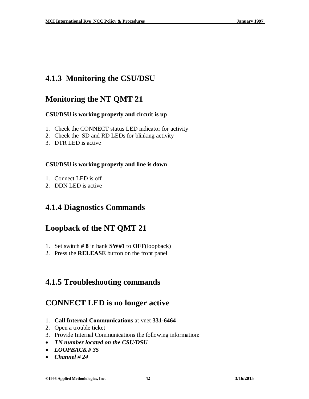## **4.1.3 Monitoring the CSU/DSU**

#### **Monitoring the NT QMT 21**

#### **CSU/DSU is working properly and circuit is up**

- 1. Check the CONNECT status LED indicator for activity
- 2. Check the SD and RD LEDs for blinking activity
- 3. DTR LED is active

#### **CSU/DSU is working properly and line is down**

- 1. Connect LED is off
- 2. DDN LED is active

#### **4.1.4 Diagnostics Commands**

#### **Loopback of the NT QMT 21**

- 1. Set switch **# 8** in bank **SW#1** to **OFF**(loopback)
- 2. Press the **RELEASE** button on the front panel

#### **4.1.5 Troubleshooting commands**

#### **CONNECT LED is no longer active**

- 1. **Call Internal Communications** at vnet **331-6464**
- 2. Open a trouble ticket
- 3. Provide Internal Communications the following information:
- *TN number located on the CSU/DSU*
- *LOOPBACK # 35*
- *Channel # 24*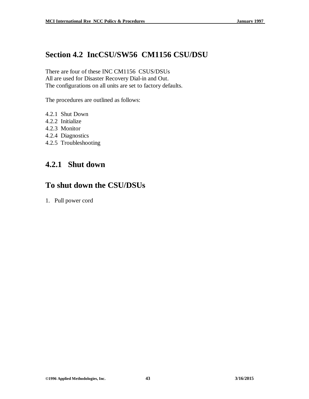## **Section 4.2 IncCSU/SW56 CM1156 CSU/DSU**

There are four of these INC CM1156 CSUS/DSUs All are used for Disaster Recovery Dial-in and Out. The configurations on all units are set to factory defaults.

The procedures are outlined as follows:

- 4.2.1 Shut Down
- 4.2.2 Initialize
- 4.2.3 Monitor
- 4.2.4 Diagnostics
- 4.2.5 Troubleshooting

#### **4.2.1 Shut down**

#### **To shut down the CSU/DSUs**

1. Pull power cord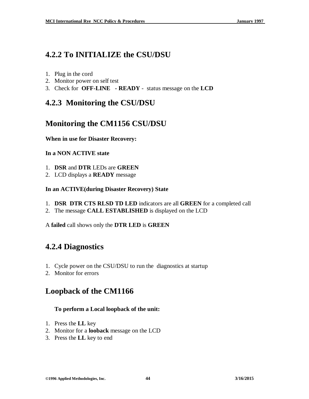## **4.2.2 To INITIALIZE the CSU/DSU**

- 1. Plug in the cord
- 2. Monitor power on self test
- 3. Check for **OFF-LINE - READY** status message on the **LCD**

## **4.2.3 Monitoring the CSU/DSU**

# **Monitoring the CM1156 CSU/DSU**

#### **When in use for Disaster Recovery:**

#### **In a NON ACTIVE state**

- 1. **DSR** and **DTR** LEDs are **GREEN**
- 2. LCD displays a **READY** message

#### **In an ACTIVE(during Disaster Recovery) State**

- 1. **DSR DTR CTS RLSD TD LED** indicators are all **GREEN** for a completed call
- 2. The message **CALL ESTABLISHED** is displayed on the LCD

A **failed** call shows only the **DTR LED** is **GREEN**

## **4.2.4 Diagnostics**

- 1. Cycle power on the CSU/DSU to run the diagnostics at startup
- 2. Monitor for errors

## **Loopback of the CM1166**

#### **To perform a Local loopback of the unit:**

- 1. Press the **LL** key
- 2. Monitor for a **looback** message on the LCD
- 3. Press the **LL** key to end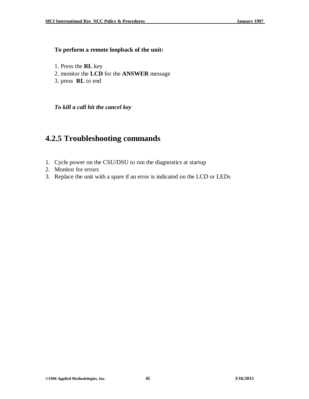#### **To perform a remote loopback of the unit:**

- 1. Press the **RL** key
- 2. monitor the **LCD** for the **ANSWER** message
- 3. press **RL** to end

*To kill a call hit the cancel key*

#### **4.2.5 Troubleshooting commands**

- 1. Cycle power on the CSU/DSU to run the diagnostics at startup
- 2. Monitor for errors
- 3. Replace the unit with a spare if an error is indicated on the LCD or LEDs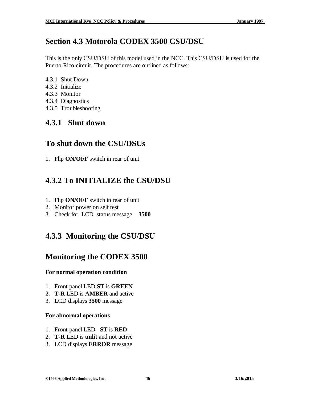## **Section 4.3 Motorola CODEX 3500 CSU/DSU**

This is the only CSU/DSU of this model used in the NCC. This CSU/DSU is used for the Puerto Rico circuit. The procedures are outlined as follows:

- 4.3.1 Shut Down
- 4.3.2 Initialize
- 4.3.3 Monitor
- 4.3.4 Diagnostics
- 4.3.5 Troubleshooting

#### **4.3.1 Shut down**

#### **To shut down the CSU/DSUs**

1. Flip **ON/OFF** switch in rear of unit

# **4.3.2 To INITIALIZE the CSU/DSU**

- 1. Flip **ON/OFF** switch in rear of unit
- 2. Monitor power on self test
- 3. Check for LCD status message **3500**

## **4.3.3 Monitoring the CSU/DSU**

#### **Monitoring the CODEX 3500**

#### **For normal operation condition**

- 1. Front panel LED **ST** is **GREEN**
- 2. **T-R** LED is **AMBER** and active
- 3. LCD displays **3500** message

#### **For abnormal operations**

- 1. Front panel LED **ST** is **RED**
- 2. **T-R** LED is **unlit** and not active
- 3. LCD displays **ERROR** message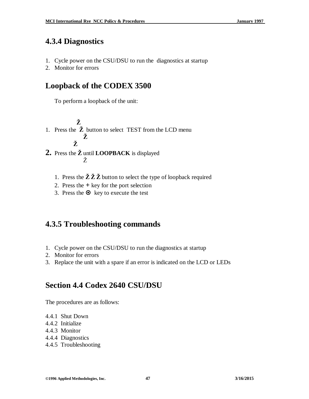#### **4.3.4 Diagnostics**

- 1. Cycle power on the CSU/DSU to run the diagnostics at startup
- 2. Monitor for errors

#### **Loopback of the CODEX 3500**

To perform a loopback of the unit:

- **Ž** 1. Press the **Ž** button to select TEST from the LCD menu **Ž Ž**
- **2.** Press the **Ž** until **LOOPBACK** is displayed Ž
	- 1. Press the  $\check{Z} \check{Z} \check{Z}$  button to select the type of loopback required
	- 2. Press the **+** key for the port selection
	- 3. Press the  $\odot$  key to execute the test

## **4.3.5 Troubleshooting commands**

- 1. Cycle power on the CSU/DSU to run the diagnostics at startup
- 2. Monitor for errors
- 3. Replace the unit with a spare if an error is indicated on the LCD or LEDs

#### **Section 4.4 Codex 2640 CSU/DSU**

The procedures are as follows:

- 4.4.1 Shut Down
- 4.4.2 Initialize
- 4.4.3 Monitor
- 4.4.4 Diagnostics
- 4.4.5 Troubleshooting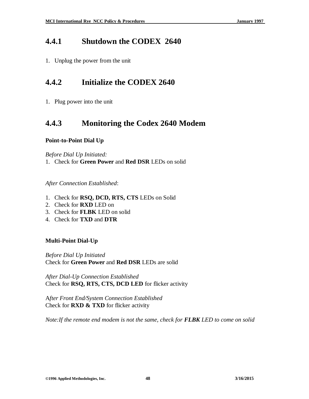#### **4.4.1 Shutdown the CODEX 2640**

1. Unplug the power from the unit

#### **4.4.2 Initialize the CODEX 2640**

1. Plug power into the unit

#### **4.4.3 Monitoring the Codex 2640 Modem**

#### **Point-to-Point Dial Up**

*Before Dial Up Initiated:*

1. Check for **Green Power** and **Red DSR** LEDs on solid

*After Connection Established*:

- 1. Check for **RSQ, DCD, RTS, CTS** LEDs on Solid
- 2. Check for **RXD** LED on
- 3. Check for **FLBK** LED on solid
- 4. Check for **TXD** and **DTR**

#### **Multi-Point Dial-Up**

*Before Dial Up Initiated* Check for **Green Power** and **Red DSR** LEDs are solid

*After Dial-Up Connection Established* Check for **RSQ, RTS, CTS, DCD LED** for flicker activity

A*fter Front End/System Connection Established* Check for **RXD & TXD** for flicker activity

*Note:If the remote end modem is not the same, check for FLBK LED to come on solid*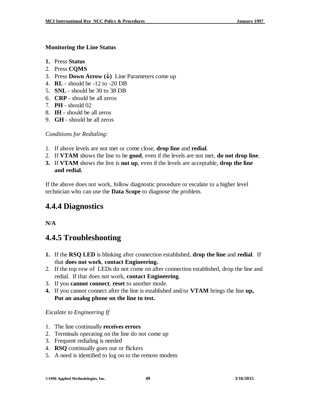#### **Monitoring the Line Status**

- **1.** Press **Status**
- 2. Press **CQMS**
- 3. Press **Down Arrow**  $(\downarrow)$  Line Parameters come up
- 4. **RL** should be -12 to -20 DB
- 5. **SNL** should be 30 to 38 DB
- 6. **CRP** should be all zeros
- 7. **PH** should 02
- 8. **IH** should be all zeros
- 9. **GH** should be all zeros

*Conditions for Redialing:*

- 1. If above levels are not met or come close, **drop line** and **redial**.
- 2. If **VTAM** shows the line to be **good**, even if the levels are not met, **do not drop line**.
- **3.** If **VTAM** shows the live is **not up**, even if the levels are acceptable, **drop the line and redial.**

If the above does not work, follow diagnostic procedure or escalate to a higher level technician who can use the **Data Scope** to diagnose the problem.

# **4.4.4 Diagnostics**

**N/A**

# **4.4.5 Troubleshooting**

- **1.** If the **RSQ LED** is blinking after connection established, **drop the line** and **redial**. If that **does not work**, **contact Engineering.**
- 2. If the top row of LEDs do not come on after connection established, drop the line and redial. If that does not work, **contact Engineering**.
- 3. If you **cannot connect**, **reset** to another mode.
- **4.** If you cannot connect after the line is established and/or **VTAM** brings the line **up, Put an analog phone on the line to test.**

*Escalate to Engineering If*

- 1. The line continually **receives errors**
- 2. Terminals operating on the line do not come up
- 3. Frequent redialing is needed
- 4. **RSQ** continually goes out or flickers
- 5. A need is identified to log on to the remote modem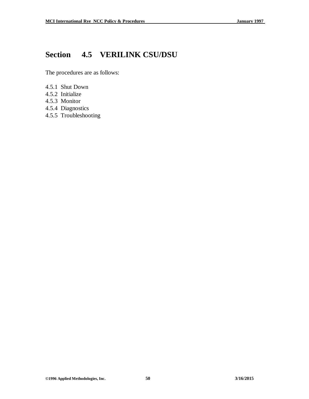# **Section 4.5 VERILINK CSU/DSU**

The procedures are as follows:

- 4.5.1 Shut Down
- 4.5.2 Initialize
- 4.5.3 Monitor
- 4.5.4 Diagnostics
- 4.5.5 Troubleshooting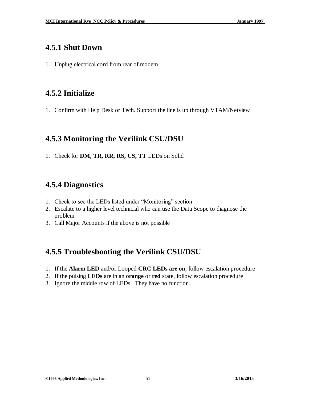#### **4.5.1 Shut Down**

1. Unplug electrical cord from rear of modem

## **4.5.2 Initialize**

1. Confirm with Help Desk or Tech. Support the line is up through VTAM/Netview

#### **4.5.3 Monitoring the Verilink CSU/DSU**

1. Check for **DM, TR, RR, RS, CS, TT** LEDs on Solid

## **4.5.4 Diagnostics**

- 1. Check to see the LEDs listed under "Monitoring" section
- 2. Escalate to a higher level technicial who can use the Data Scope to diagnose the problem.
- 3. Call Major Accounts if the above is not possible

# **4.5.5 Troubleshooting the Verilink CSU/DSU**

- 1. If the **Alarm LED** and/or Looped **CRC LEDs are on**, follow escalation procedure
- 2. If the pulsing **LEDs** are in an **orange** or **red** state, follow escalation procedure
- 3. Ignore the middle row of LEDs. They have no function.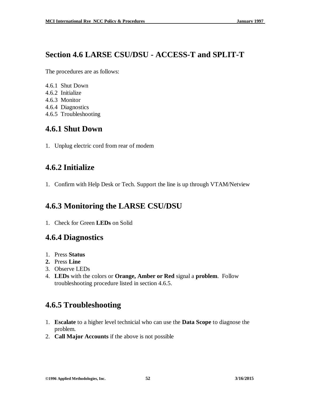#### **Section 4.6 LARSE CSU/DSU - ACCESS-T and SPLIT-T**

The procedures are as follows:

- 4.6.1 Shut Down
- 4.6.2 Initialize
- 4.6.3 Monitor
- 4.6.4 Diagnostics
- 4.6.5 Troubleshooting

#### **4.6.1 Shut Down**

1. Unplug electric cord from rear of modem

## **4.6.2 Initialize**

1. Confirm with Help Desk or Tech. Support the line is up through VTAM/Netview

# **4.6.3 Monitoring the LARSE CSU/DSU**

1. Check for Green **LEDs** on Solid

## **4.6.4 Diagnostics**

- 1. Press **Status**
- **2.** Press **Line**
- 3. Observe LEDs
- 4. **LEDs** with the colors or **Orange, Amber or Red** signal a **problem**. Follow troubleshooting procedure listed in section 4.6.5.

# **4.6.5 Troubleshooting**

- 1. **Escalate** to a higher level technicial who can use the **Data Scope** to diagnose the problem.
- 2. **Call Major Accounts** if the above is not possible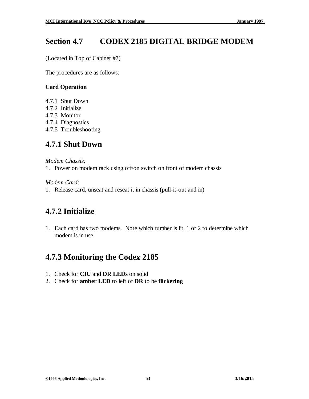## **Section 4.7 CODEX 2185 DIGITAL BRIDGE MODEM**

(Located in Top of Cabinet #7)

The procedures are as follows:

#### **Card Operation**

- 4.7.1 Shut Down
- 4.7.2 Initialize
- 4.7.3 Monitor
- 4.7.4 Diagnostics
- 4.7.5 Troubleshooting

#### **4.7.1 Shut Down**

#### *Modem Chassis:*

1. Power on modem rack using off/on switch on front of modem chassis

*Modem Card:*

1. Release card, unseat and reseat it in chassis (pull-it-out and in)

## **4.7.2 Initialize**

1. Each card has two modems. Note which rumber is lit, 1 or 2 to determine which modem is in use.

## **4.7.3 Monitoring the Codex 2185**

- 1. Check for **CIU** and **DR LEDs** on solid
- 2. Check for **amber LED** to left of **DR** to be **flickering**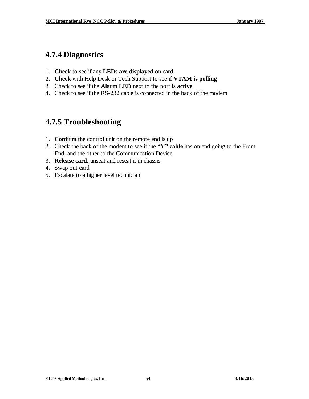## **4.7.4 Diagnostics**

- 1. **Check** to see if any **LEDs are displayed** on card
- 2. **Check** with Help Desk or Tech Support to see if **VTAM is polling**
- 3. Check to see if the **Alarm LED** next to the port is **active**
- 4. Check to see if the RS-232 cable is connected in the back of the modem

# **4.7.5 Troubleshooting**

- 1. **Confirm** the control unit on the remote end is up
- 2. Check the back of the modem to see if the **"Y" cable** has on end going to the Front End, and the other to the Communication Device
- 3. **Release card**, unseat and reseat it in chassis
- 4. Swap out card
- 5. Escalate to a higher level technician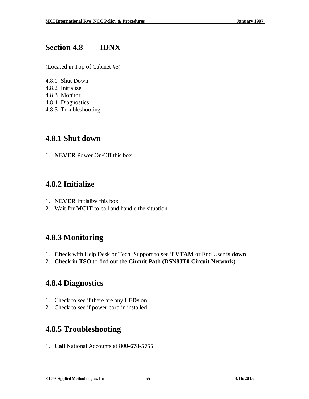#### **Section 4.8 IDNX**

(Located in Top of Cabinet #5)

- 4.8.1 Shut Down
- 4.8.2 Initialize
- 4.8.3 Monitor
- 4.8.4 Diagnostics
- 4.8.5 Troubleshooting

#### **4.8.1 Shut down**

1. **NEVER** Power On/Off this box

#### **4.8.2 Initialize**

- 1. **NEVER** Initialize this box
- 2. Wait for **MCIT** to call and handle the situation

## **4.8.3 Monitoring**

- 1. **Check** with Help Desk or Tech. Support to see if **VTAM** or End User **is down**
- 2. **Check in TSO** to find out the **Circuit Path (DSN8JT0.Circuit.Network**)

## **4.8.4 Diagnostics**

- 1. Check to see if there are any **LEDs** on
- 2. Check to see if power cord in installed

## **4.8.5 Troubleshooting**

1. **Call** National Accounts at **800-678-5755**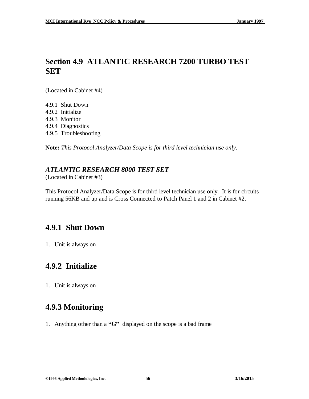## **Section 4.9 ATLANTIC RESEARCH 7200 TURBO TEST SET**

(Located in Cabinet #4)

- 4.9.1 Shut Down
- 4.9.2 Initialize
- 4.9.3 Monitor
- 4.9.4 Diagnostics
- 4.9.5 Troubleshooting

**Note:** *This Protocol Analyzer/Data Scope is for third level technician use only.*

#### *ATLANTIC RESEARCH 8000 TEST SET*

(Located in Cabinet #3)

This Protocol Analyzer/Data Scope is for third level technician use only. It is for circuits running 56KB and up and is Cross Connected to Patch Panel 1 and 2 in Cabinet #2.

## **4.9.1 Shut Down**

1. Unit is always on

## **4.9.2 Initialize**

1. Unit is always on

## **4.9.3 Monitoring**

1. Anything other than a **"G"** displayed on the scope is a bad frame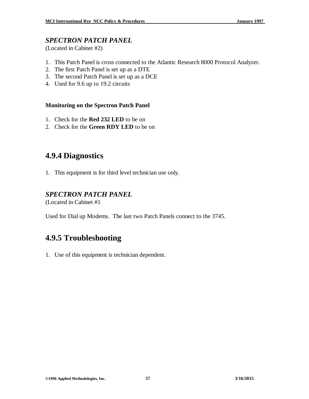#### *SPECTRON PATCH PANEL*

(Located in Cabinet #2)

- 1. This Patch Panel is cross connected to the Atlantic Research 8000 Protocol Analyzer.
- 2. The first Patch Panel is set up as a DTE
- 3. The second Patch Panel is set up as a DCE
- 4. Used for 9.6 up to 19.2 circuits

#### **Monitoring on the Spectron Patch Panel**

- 1. Check for the **Red 232 LED** to be on
- 2. Check for the **Green RDY LED** to be on

## **4.9.4 Diagnostics**

1. This equipment is for third level technician use only.

#### *SPECTRON PATCH PANEL*

(Located in Cabinet #1

Used for Dial up Modems. The last two Patch Panels connect to the 3745.

# **4.9.5 Troubleshooting**

1. Use of this equipment is technician dependent.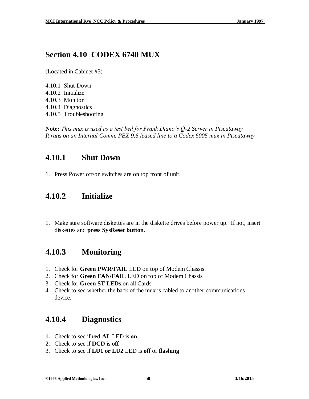## **Section 4.10 CODEX 6740 MUX**

(Located in Cabinet #3)

4.10.1 Shut Down 4.10.2 Initialize 4.10.3 Monitor 4.10.4 Diagnostics 4.10.5 Troubleshooting

**Note:** *This mux is used as a test bed for Frank Diano's Q-2 Server in Piscataway It runs on an Internal Comm. PBX 9.6 leased line to a Codex 6005 mux in Piscataway*

## **4.10.1 Shut Down**

1. Press Power off/on switches are on top front of unit.

#### **4.10.2 Initialize**

1. Make sure software diskettes are in the diskette drives before power up. If not, insert diskettes and **press SysReset button**.

## **4.10.3 Monitoring**

- 1. Check for **Green PWR/FAIL** LED on top of Modem Chassis
- 2. Check for **Green FAN/FAIL** LED on top of Modem Chassis
- 3. Check for **Green ST LEDs** on all Cards
- 4. Check to see whether the back of the mux is cabled to another communications device.

#### **4.10.4 Diagnostics**

- **1.** Check to see if **red AL** LED is **on**
- 2. Check to see if **DCD** is **off**
- 3. Check to see if **LU1 or LU2** LED is **off** or **flashing**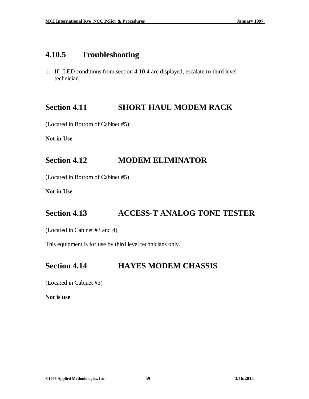#### **4.10.5 Troubleshooting**

1. If LED conditions from section 4.10.4 are displayed, escalate to third level technician.

#### **Section 4.11 SHORT HAUL MODEM RACK**

(Located in Bottom of Cabinet #5)

**Not in Use**

#### **Section 4.12 MODEM ELIMINATOR**

(Located in Bottom of Cabinet #5)

**Not in Use**

#### **Section 4.13 ACCESS-T ANALOG TONE TESTER**

(Located in Cabinet #3 and 4)

This equipment is for use by third level technicians only.

#### **Section 4.14 HAYES MODEM CHASSIS**

(Located in Cabinet #3)

**Not is use**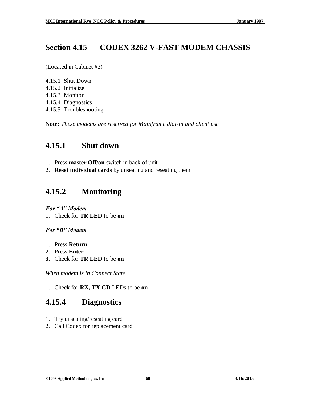#### **Section 4.15 CODEX 3262 V-FAST MODEM CHASSIS**

(Located in Cabinet #2)

- 4.15.1 Shut Down
- 4.15.2 Initialize
- 4.15.3 Monitor
- 4.15.4 Diagnostics
- 4.15.5 Troubleshooting

**Note:** *These modems are reserved for Mainframe dial-in and client use*

## **4.15.1 Shut down**

- 1. Press **master Off/on** switch in back of unit
- 2. **Reset individual cards** by unseating and reseating them

# **4.15.2 Monitoring**

*For "A" Modem* 1. Check for **TR LED** to be **on**

*For "B" Modem*

- 1. Press **Return**
- 2. Press **Enter**
- **3.** Check for **TR LED** to be **on**

*When modem is in Connect State*

1. Check for **RX, TX CD** LEDs to be **on**

# **4.15.4 Diagnostics**

- 1. Try unseating/reseating card
- 2. Call Codex for replacement card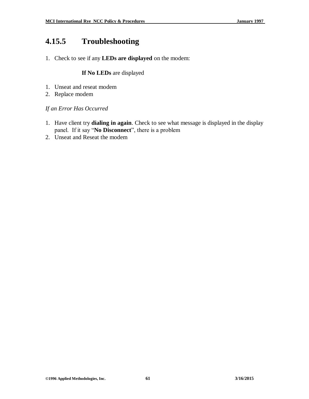# **4.15.5 Troubleshooting**

1. Check to see if any **LEDs are displayed** on the modem:

#### **If No LEDs** are displayed

- 1. Unseat and reseat modem
- 2. Replace modem

#### *If an Error Has Occurred*

- 1. Have client try **dialing in again**. Check to see what message is displayed in the display panel. If it say "**No Disconnect**", there is a problem
- 2. Unseat and Reseat the modem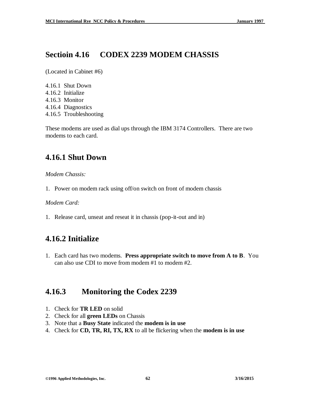#### **Sectioin 4.16 CODEX 2239 MODEM CHASSIS**

(Located in Cabinet #6)

4.16.1 Shut Down 4.16.2 Initialize 4.16.3 Monitor 4.16.4 Diagnostics 4.16.5 Troubleshooting

These modems are used as dial ups through the IBM 3174 Controllers. There are two modems to each card.

# **4.16.1 Shut Down**

*Modem Chassis:*

1. Power on modem rack using off/on switch on front of modem chassis

*Modem Card:*

1. Release card, unseat and reseat it in chassis (pop-it-out and in)

# **4.16.2 Initialize**

1. Each card has two modems. **Press appropriate switch to move from A to B**. You can also use CDI to move from modem #1 to modem #2.

## **4.16.3 Monitoring the Codex 2239**

- 1. Check for **TR LED** on solid
- 2. Check for all **green LEDs** on Chassis
- 3. Note that a **Busy State** indicated the **modem is in use**
- 4. Check for **CD, TR, RI, TX, RX** to all be flickering when the **modem is in use**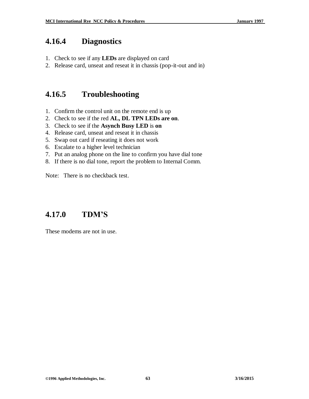#### **4.16.4 Diagnostics**

- 1. Check to see if any **LEDs** are displayed on card
- 2. Release card, unseat and reseat it in chassis (pop-it-out and in)

#### **4.16.5 Troubleshooting**

- 1. Confirm the control unit on the remote end is up
- 2. Check to see if the red **AL, DL TPN LEDs are on**.
- 3. Check to see if the **Asynch Busy LED** is **on**
- 4. Release card, unseat and reseat it in chassis
- 5. Swap out card if reseating it does not work
- 6. Escalate to a higher level technician
- 7. Put an analog phone on the line to confirm you have dial tone
- 8. If there is no dial tone, report the problem to Internal Comm.

Note: There is no checkback test.

## **4.17.0 TDM'S**

These modems are not in use.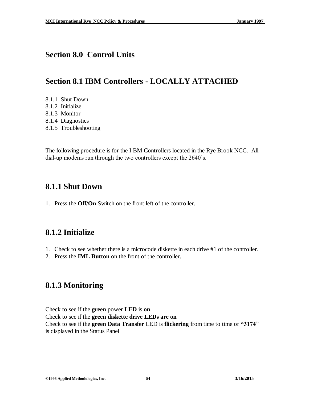#### **Section 8.0 Control Units**

## **Section 8.1 IBM Controllers - LOCALLY ATTACHED**

- 8.1.1 Shut Down
- 8.1.2 Initialize
- 8.1.3 Monitor
- 8.1.4 Diagnostics
- 8.1.5 Troubleshooting

The following procedure is for the I BM Controllers located in the Rye Brook NCC. All dial-up modems run through the two controllers except the 2640's.

#### **8.1.1 Shut Down**

1. Press the **Off/On** Switch on the front left of the controller.

## **8.1.2 Initialize**

- 1. Check to see whether there is a microcode diskette in each drive #1 of the controller.
- 2. Press the **IML Button** on the front of the controller.

## **8.1.3 Monitoring**

Check to see if the **green** power **LED** is **on**. Check to see if the **green diskette drive LEDs are on** Check to see if the **green Data Transfer** LED is **flickering** from time to time or **"3174**" is displayed in the Status Panel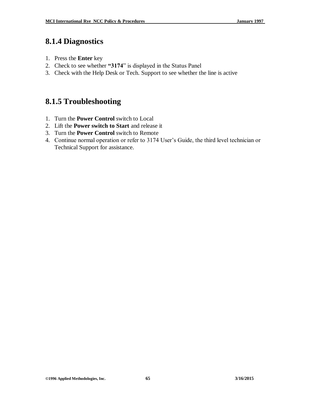#### **8.1.4 Diagnostics**

- 1. Press the **Enter** key
- 2. Check to see whether **"3174**" is displayed in the Status Panel
- 3. Check with the Help Desk or Tech. Support to see whether the line is active

#### **8.1.5 Troubleshooting**

- 1. Turn the **Power Control** switch to Local
- 2. Lift the **Power switch to Start** and release it
- 3. Turn the **Power Control** switch to Remote
- 4. Continue normal operation or refer to 3174 User's Guide, the third level technician or Technical Support for assistance.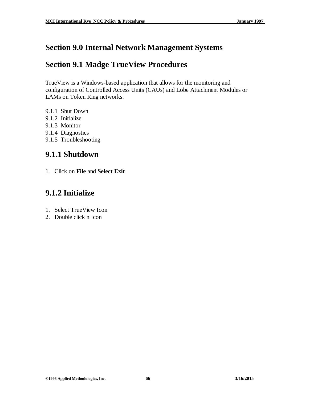## **Section 9.0 Internal Network Management Systems**

#### **Section 9.1 Madge TrueView Procedures**

TrueView is a Windows-based application that allows for the monitoring and configuration of Controlled Access Units (CAUs) and Lobe Attachment Modules or LAMs on Token Ring networks.

- 9.1.1 Shut Down
- 9.1.2 Initialize
- 9.1.3 Monitor
- 9.1.4 Diagnostics
- 9.1.5 Troubleshooting

#### **9.1.1 Shutdown**

1. Click on **File** and **Select Exit**

## **9.1.2 Initialize**

- 1. Select TrueView Icon
- 2. Double click n Icon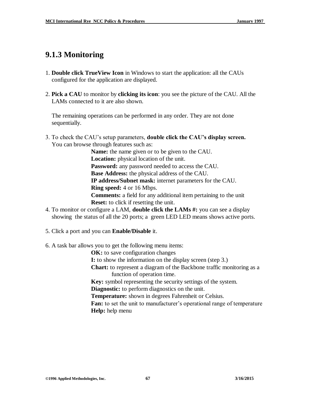## **9.1.3 Monitoring**

- 1. **Double click TrueView Icon** in Windows to start the application: all the CAUs configured for the application are displayed.
- 2. **Pick a CAU** to monitor by **clicking its icon**: you see the picture of the CAU. All the LAMs connected to it are also shown.

 The remaining operations can be performed in any order. They are not done sequentially.

3. To check the CAU's setup parameters, **double click the CAU's display screen.** You can browse through features such as:

> **Name:** the name given or to be given to the CAU.  **Location:** physical location of the unit. **Password:** any password needed to access the CAU. **Base Address:** the physical address of the CAU. **IP address/Subnet mask:** internet parameters for the CAU. **Ring speed:** 4 or 16 Mbps. **Comments:** a field for any additional item pertaining to the unit **Reset:** to click if resetting the unit.

- 4. To monitor or configure a LAM, **double click the LAMs #:** you can see a display showing the status of all the 20 ports; a green LED LED means shows active ports.
- 5. Click a port and you can **Enable/Disable** it.
- 6. A task bar allows you to get the following menu items:

**OK:** to save configuration changes

- **I:** to show the information on the display screen (step 3.)
- **Chart:** to represent a diagram of the Backbone traffic monitoring as a function of operation time.

**Key:** symbol representing the security settings of the system.

**Diagnostic:** to perform diagnostics on the unit.

**Temperature:** shown in degrees Fahrenheit or Celsius.

**Fan:** to set the unit to manufacturer's operational range of temperature  **Help:** help menu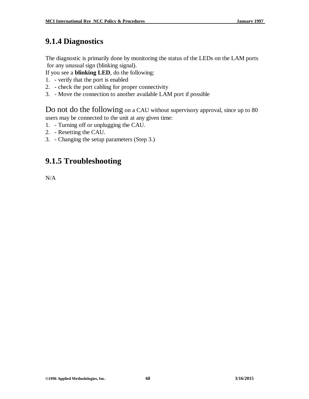# **9.1.4 Diagnostics**

The diagnostic is primarily done by monitoring the status of the LEDs on the LAM ports for any unusual sign (blinking signal).

If you see a **blinking LED**, do the following:

- 1. verify that the port is enabled
- 2. check the port cabling for proper connectivity
- 3. Move the connection to another available LAM port if possible

Do not do the following on a CAU without supervisory approval, since up to 80 users may be connected to the unit at any given time:

- 1. Turning off or unplugging the CAU.
- 2. Resetting the CAU.
- 3. Changing the setup parameters (Step 3.)

## **9.1.5 Troubleshooting**

N/A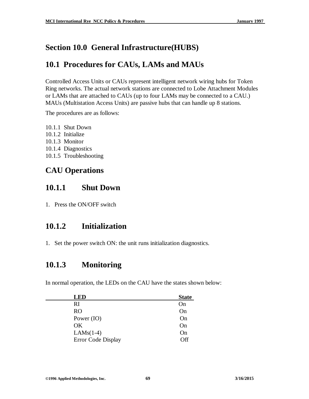# **Section 10.0 General Infrastructure(HUBS)**

## **10.1 Procedures for CAUs, LAMs and MAUs**

Controlled Access Units or CAUs represent intelligent network wiring hubs for Token Ring networks. The actual network stations are connected to Lobe Attachment Modules or LAMs that are attached to CAUs (up to four LAMs may be connected to a CAU.) MAUs (Multistation Access Units) are passive hubs that can handle up 8 stations.

The procedures are as follows:

10.1.1 Shut Down 10.1.2 Initialize 10.1.3 Monitor 10.1.4 Diagnostics 10.1.5 Troubleshooting

## **CAU Operations**

#### **10.1.1 Shut Down**

1. Press the ON/OFF switch

## **10.1.2 Initialization**

1. Set the power switch ON: the unit runs initialization diagnostics.

#### **10.1.3 Monitoring**

In normal operation, the LEDs on the CAU have the states shown below:

| <b>LED</b>         | <b>State</b> |
|--------------------|--------------|
| RI                 | On           |
| <b>RO</b>          | On           |
| Power (IO)         | On           |
| OK                 | On           |
| $LAMS(1-4)$        | On           |
| Error Code Display | Off          |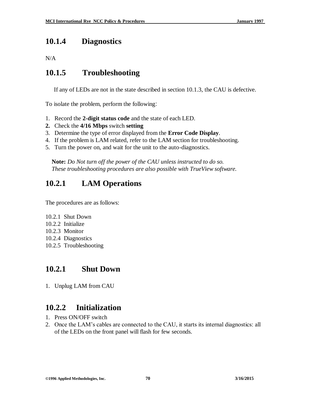#### **10.1.4 Diagnostics**

N/A

#### **10.1.5 Troubleshooting**

If any of LEDs are not in the state described in section 10.1.3, the CAU is defective.

To isolate the problem, perform the following:

- 1. Record the **2-digit status code** and the state of each LED.
- **2.** Check the **4/16 Mbps** switch **setting**
- 3. Determine the type of error displayed from the **Error Code Display**.
- 4. If the problem is LAM related, refer to the LAM section for troubleshooting.
- 5. Turn the power on, and wait for the unit to the auto-diagnostics.

 **Note:** *Do Not turn off the power of the CAU unless instructed to do so. These troubleshooting procedures are also possible with TrueView software.*

## **10.2.1 LAM Operations**

The procedures are as follows:

- 10.2.1 Shut Down
- 10.2.2 Initialize
- 10.2.3 Monitor
- 10.2.4 Diagnostics
- 10.2.5 Troubleshooting

#### **10.2.1 Shut Down**

1. Unplug LAM from CAU

## **10.2.2 Initialization**

- 1. Press ON/OFF switch
- 2. Once the LAM's cables are connected to the CAU, it starts its internal diagnostics: all of the LEDs on the front panel will flash for few seconds.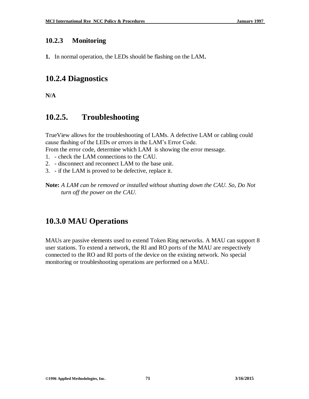#### **10.2.3 Monitoring**

**1.** In normal operation, the LEDs should be flashing on the LAM**.**

#### **10.2.4 Diagnostics**

**N/A**

#### **10.2.5. Troubleshooting**

TrueView allows for the troubleshooting of LAMs. A defective LAM or cabling could cause flashing of the LEDs or errors in the LAM's Error Code.

From the error code, determine which LAM is showing the error message.

- 1. check the LAM connections to the CAU.
- 2. disconnect and reconnect LAM to the base unit.
- 3. if the LAM is proved to be defective, replace it.
- **Note:** *A LAM can be removed or installed without shutting down the CAU. So, Do Not turn off the power on the CAU.*

#### **10.3.0 MAU Operations**

MAUs are passive elements used to extend Token Ring networks. A MAU can support 8 user stations. To extend a network, the RI and RO ports of the MAU are respectively connected to the RO and RI ports of the device on the existing network. No special monitoring or troubleshooting operations are performed on a MAU.